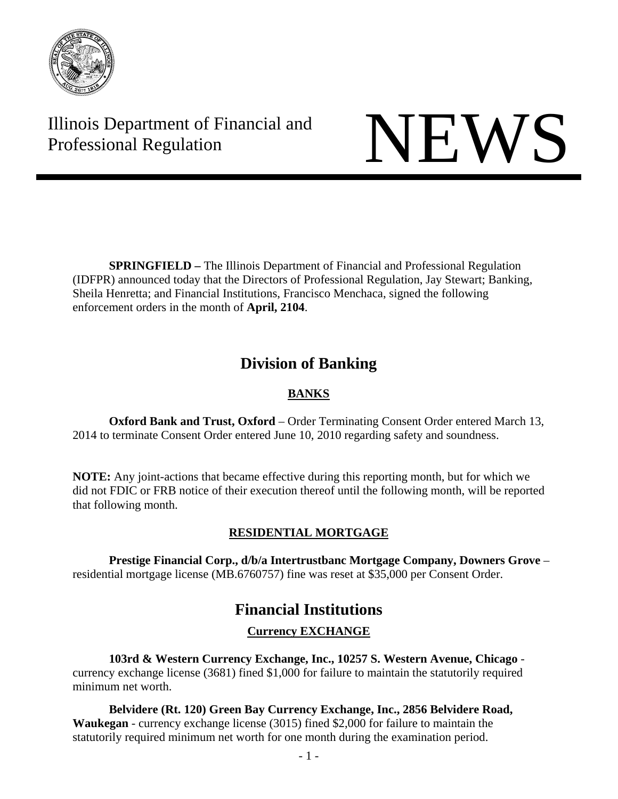

Illinois Department of Financial and Illinois Department of Financial and<br>Professional Regulation

**SPRINGFIELD** – The Illinois Department of Financial and Professional Regulation (IDFPR) announced today that the Directors of Professional Regulation, Jay Stewart; Banking, Sheila Henretta; and Financial Institutions, Francisco Menchaca, signed the following enforcement orders in the month of **April, 2104**.

# **Division of Banking**

## **BANKS**

 **Oxford Bank and Trust, Oxford** – Order Terminating Consent Order entered March 13, 2014 to terminate Consent Order entered June 10, 2010 regarding safety and soundness.

**NOTE:** Any joint-actions that became effective during this reporting month, but for which we did not FDIC or FRB notice of their execution thereof until the following month, will be reported that following month.

## **RESIDENTIAL MORTGAGE**

 **Prestige Financial Corp., d/b/a Intertrustbanc Mortgage Company, Downers Grove** – residential mortgage license (MB.6760757) fine was reset at \$35,000 per Consent Order.

# **Financial Institutions**

## **Currency EXCHANGE**

**103rd & Western Currency Exchange, Inc., 10257 S. Western Avenue, Chicago** currency exchange license (3681) fined \$1,000 for failure to maintain the statutorily required minimum net worth.

**Belvidere (Rt. 120) Green Bay Currency Exchange, Inc., 2856 Belvidere Road, Waukegan** - currency exchange license (3015) fined \$2,000 for failure to maintain the statutorily required minimum net worth for one month during the examination period.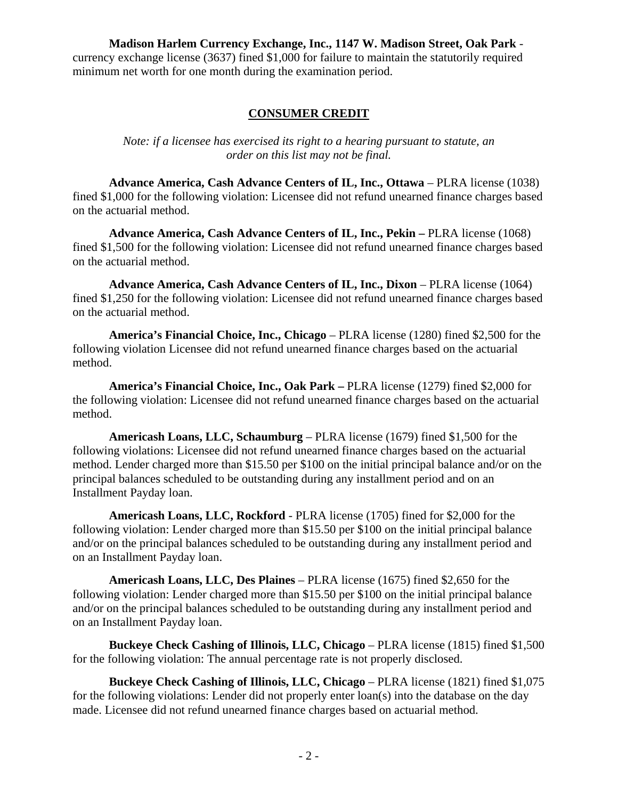**Madison Harlem Currency Exchange, Inc., 1147 W. Madison Street, Oak Park** currency exchange license (3637) fined \$1,000 for failure to maintain the statutorily required minimum net worth for one month during the examination period.

#### **CONSUMER CREDIT**

*Note: if a licensee has exercised its right to a hearing pursuant to statute, an order on this list may not be final.*

**Advance America, Cash Advance Centers of IL, Inc., Ottawa** – PLRA license (1038) fined \$1,000 for the following violation: Licensee did not refund unearned finance charges based on the actuarial method.

**Advance America, Cash Advance Centers of IL, Inc., Pekin –** PLRA license (1068) fined \$1,500 for the following violation: Licensee did not refund unearned finance charges based on the actuarial method.

**Advance America, Cash Advance Centers of IL, Inc., Dixon – PLRA license (1064)** fined \$1,250 for the following violation: Licensee did not refund unearned finance charges based on the actuarial method.

**America's Financial Choice, Inc., Chicago** – PLRA license (1280) fined \$2,500 for the following violation Licensee did not refund unearned finance charges based on the actuarial method.

**America's Financial Choice, Inc., Oak Park –** PLRA license (1279) fined \$2,000 for the following violation: Licensee did not refund unearned finance charges based on the actuarial method.

**Americash Loans, LLC, Schaumburg** – PLRA license (1679) fined \$1,500 for the following violations: Licensee did not refund unearned finance charges based on the actuarial method. Lender charged more than \$15.50 per \$100 on the initial principal balance and/or on the principal balances scheduled to be outstanding during any installment period and on an Installment Payday loan.

**Americash Loans, LLC, Rockford** - PLRA license (1705) fined for \$2,000 for the following violation: Lender charged more than \$15.50 per \$100 on the initial principal balance and/or on the principal balances scheduled to be outstanding during any installment period and on an Installment Payday loan.

**Americash Loans, LLC, Des Plaines** – PLRA license (1675) fined \$2,650 for the following violation: Lender charged more than \$15.50 per \$100 on the initial principal balance and/or on the principal balances scheduled to be outstanding during any installment period and on an Installment Payday loan.

**Buckeye Check Cashing of Illinois, LLC, Chicago** – PLRA license (1815) fined \$1,500 for the following violation: The annual percentage rate is not properly disclosed.

**Buckeye Check Cashing of Illinois, LLC, Chicago** – PLRA license (1821) fined \$1,075 for the following violations: Lender did not properly enter loan(s) into the database on the day made. Licensee did not refund unearned finance charges based on actuarial method.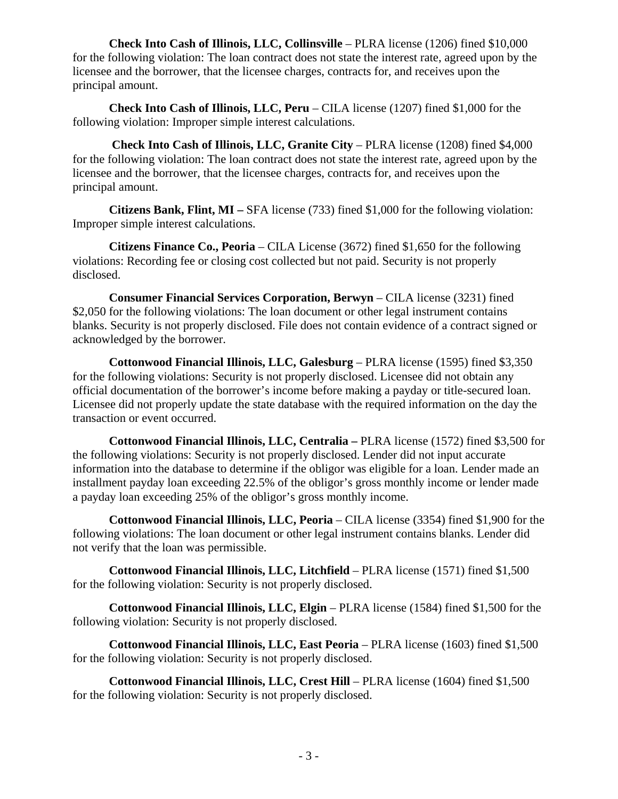**Check Into Cash of Illinois, LLC, Collinsville** – PLRA license (1206) fined \$10,000 for the following violation: The loan contract does not state the interest rate, agreed upon by the licensee and the borrower, that the licensee charges, contracts for, and receives upon the principal amount.

**Check Into Cash of Illinois, LLC, Peru** – CILA license (1207) fined \$1,000 for the following violation: Improper simple interest calculations.

 **Check Into Cash of Illinois, LLC, Granite City** – PLRA license (1208) fined \$4,000 for the following violation: The loan contract does not state the interest rate, agreed upon by the licensee and the borrower, that the licensee charges, contracts for, and receives upon the principal amount.

**Citizens Bank, Flint, MI –** SFA license (733) fined \$1,000 for the following violation: Improper simple interest calculations.

**Citizens Finance Co., Peoria** – CILA License (3672) fined \$1,650 for the following violations: Recording fee or closing cost collected but not paid. Security is not properly disclosed.

**Consumer Financial Services Corporation, Berwyn** – CILA license (3231) fined \$2,050 for the following violations: The loan document or other legal instrument contains blanks. Security is not properly disclosed. File does not contain evidence of a contract signed or acknowledged by the borrower.

**Cottonwood Financial Illinois, LLC, Galesburg** – PLRA license (1595) fined \$3,350 for the following violations: Security is not properly disclosed. Licensee did not obtain any official documentation of the borrower's income before making a payday or title-secured loan. Licensee did not properly update the state database with the required information on the day the transaction or event occurred.

**Cottonwood Financial Illinois, LLC, Centralia –** PLRA license (1572) fined \$3,500 for the following violations: Security is not properly disclosed. Lender did not input accurate information into the database to determine if the obligor was eligible for a loan. Lender made an installment payday loan exceeding 22.5% of the obligor's gross monthly income or lender made a payday loan exceeding 25% of the obligor's gross monthly income.

**Cottonwood Financial Illinois, LLC, Peoria** – CILA license (3354) fined \$1,900 for the following violations: The loan document or other legal instrument contains blanks. Lender did not verify that the loan was permissible.

**Cottonwood Financial Illinois, LLC, Litchfield** – PLRA license (1571) fined \$1,500 for the following violation: Security is not properly disclosed.

**Cottonwood Financial Illinois, LLC, Elgin** – PLRA license (1584) fined \$1,500 for the following violation: Security is not properly disclosed.

**Cottonwood Financial Illinois, LLC, East Peoria – PLRA license (1603) fined \$1,500** for the following violation: Security is not properly disclosed.

**Cottonwood Financial Illinois, LLC, Crest Hill** – PLRA license (1604) fined \$1,500 for the following violation: Security is not properly disclosed.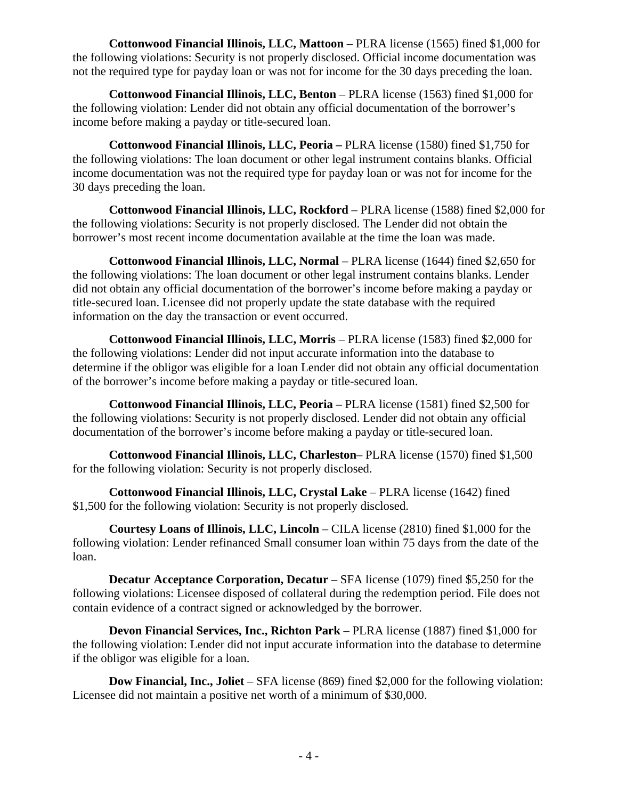**Cottonwood Financial Illinois, LLC, Mattoon** – PLRA license (1565) fined \$1,000 for the following violations: Security is not properly disclosed. Official income documentation was not the required type for payday loan or was not for income for the 30 days preceding the loan.

**Cottonwood Financial Illinois, LLC, Benton** – PLRA license (1563) fined \$1,000 for the following violation: Lender did not obtain any official documentation of the borrower's income before making a payday or title-secured loan.

**Cottonwood Financial Illinois, LLC, Peoria –** PLRA license (1580) fined \$1,750 for the following violations: The loan document or other legal instrument contains blanks. Official income documentation was not the required type for payday loan or was not for income for the 30 days preceding the loan.

**Cottonwood Financial Illinois, LLC, Rockford** – PLRA license (1588) fined \$2,000 for the following violations: Security is not properly disclosed. The Lender did not obtain the borrower's most recent income documentation available at the time the loan was made.

**Cottonwood Financial Illinois, LLC, Normal** – PLRA license (1644) fined \$2,650 for the following violations: The loan document or other legal instrument contains blanks. Lender did not obtain any official documentation of the borrower's income before making a payday or title-secured loan. Licensee did not properly update the state database with the required information on the day the transaction or event occurred.

**Cottonwood Financial Illinois, LLC, Morris** – PLRA license (1583) fined \$2,000 for the following violations: Lender did not input accurate information into the database to determine if the obligor was eligible for a loan Lender did not obtain any official documentation of the borrower's income before making a payday or title-secured loan.

**Cottonwood Financial Illinois, LLC, Peoria –** PLRA license (1581) fined \$2,500 for the following violations: Security is not properly disclosed. Lender did not obtain any official documentation of the borrower's income before making a payday or title-secured loan.

**Cottonwood Financial Illinois, LLC, Charleston**– PLRA license (1570) fined \$1,500 for the following violation: Security is not properly disclosed.

**Cottonwood Financial Illinois, LLC, Crystal Lake** – PLRA license (1642) fined \$1,500 for the following violation: Security is not properly disclosed.

**Courtesy Loans of Illinois, LLC, Lincoln** – CILA license (2810) fined \$1,000 for the following violation: Lender refinanced Small consumer loan within 75 days from the date of the loan.

**Decatur Acceptance Corporation, Decatur** – SFA license (1079) fined \$5,250 for the following violations: Licensee disposed of collateral during the redemption period. File does not contain evidence of a contract signed or acknowledged by the borrower.

**Devon Financial Services, Inc., Richton Park** – PLRA license (1887) fined \$1,000 for the following violation: Lender did not input accurate information into the database to determine if the obligor was eligible for a loan.

**Dow Financial, Inc., Joliet** – SFA license (869) fined \$2,000 for the following violation: Licensee did not maintain a positive net worth of a minimum of \$30,000.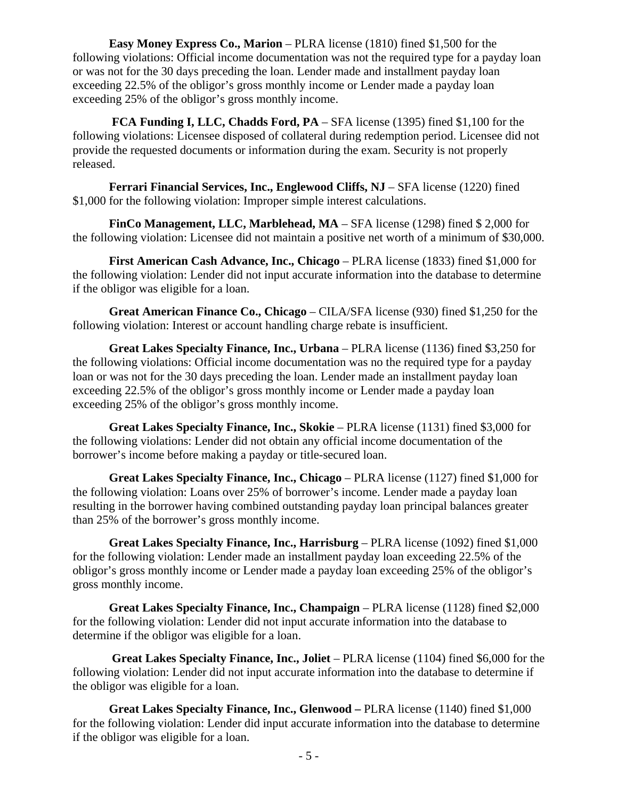**Easy Money Express Co., Marion** – PLRA license (1810) fined \$1,500 for the following violations: Official income documentation was not the required type for a payday loan or was not for the 30 days preceding the loan. Lender made and installment payday loan exceeding 22.5% of the obligor's gross monthly income or Lender made a payday loan exceeding 25% of the obligor's gross monthly income.

**FCA Funding I, LLC, Chadds Ford, PA** – SFA license (1395) fined \$1,100 for the following violations: Licensee disposed of collateral during redemption period. Licensee did not provide the requested documents or information during the exam. Security is not properly released.

**Ferrari Financial Services, Inc., Englewood Cliffs, NJ** – SFA license (1220) fined \$1,000 for the following violation: Improper simple interest calculations.

**FinCo Management, LLC, Marblehead, MA** – SFA license (1298) fined \$ 2,000 for the following violation: Licensee did not maintain a positive net worth of a minimum of \$30,000.

**First American Cash Advance, Inc., Chicago** – PLRA license (1833) fined \$1,000 for the following violation: Lender did not input accurate information into the database to determine if the obligor was eligible for a loan.

**Great American Finance Co., Chicago** – CILA/SFA license (930) fined \$1,250 for the following violation: Interest or account handling charge rebate is insufficient.

**Great Lakes Specialty Finance, Inc., Urbana** – PLRA license (1136) fined \$3,250 for the following violations: Official income documentation was no the required type for a payday loan or was not for the 30 days preceding the loan. Lender made an installment payday loan exceeding 22.5% of the obligor's gross monthly income or Lender made a payday loan exceeding 25% of the obligor's gross monthly income.

**Great Lakes Specialty Finance, Inc., Skokie – PLRA license (1131) fined \$3,000 for** the following violations: Lender did not obtain any official income documentation of the borrower's income before making a payday or title-secured loan.

**Great Lakes Specialty Finance, Inc., Chicago** – PLRA license (1127) fined \$1,000 for the following violation: Loans over 25% of borrower's income. Lender made a payday loan resulting in the borrower having combined outstanding payday loan principal balances greater than 25% of the borrower's gross monthly income.

**Great Lakes Specialty Finance, Inc., Harrisburg – PLRA license (1092) fined \$1,000** for the following violation: Lender made an installment payday loan exceeding 22.5% of the obligor's gross monthly income or Lender made a payday loan exceeding 25% of the obligor's gross monthly income.

**Great Lakes Specialty Finance, Inc., Champaign** – PLRA license (1128) fined \$2,000 for the following violation: Lender did not input accurate information into the database to determine if the obligor was eligible for a loan.

 **Great Lakes Specialty Finance, Inc., Joliet** – PLRA license (1104) fined \$6,000 for the following violation: Lender did not input accurate information into the database to determine if the obligor was eligible for a loan.

**Great Lakes Specialty Finance, Inc., Glenwood –** PLRA license (1140) fined \$1,000 for the following violation: Lender did input accurate information into the database to determine if the obligor was eligible for a loan.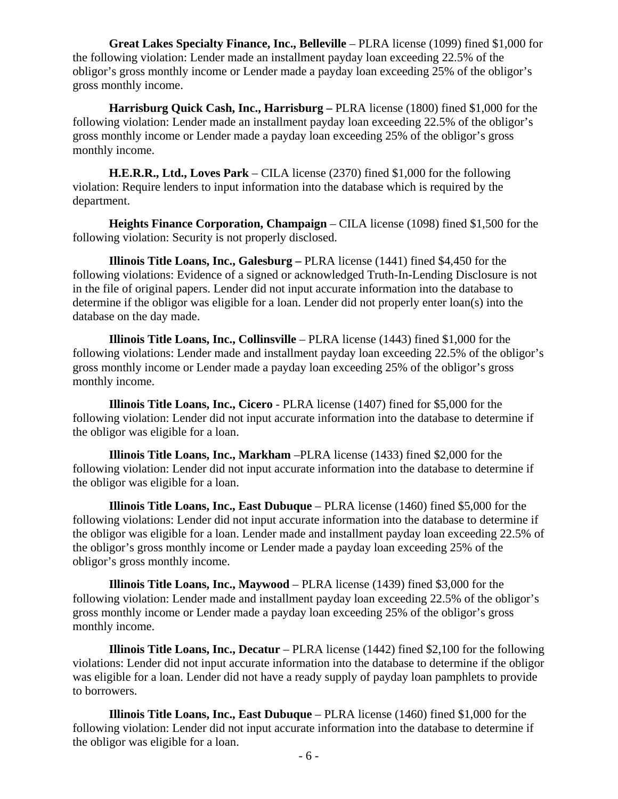**Great Lakes Specialty Finance, Inc., Belleville** – PLRA license (1099) fined \$1,000 for the following violation: Lender made an installment payday loan exceeding 22.5% of the obligor's gross monthly income or Lender made a payday loan exceeding 25% of the obligor's gross monthly income.

**Harrisburg Quick Cash, Inc., Harrisburg –** PLRA license (1800) fined \$1,000 for the following violation: Lender made an installment payday loan exceeding 22.5% of the obligor's gross monthly income or Lender made a payday loan exceeding 25% of the obligor's gross monthly income.

**H.E.R.R., Ltd., Loves Park** – CILA license (2370) fined \$1,000 for the following violation: Require lenders to input information into the database which is required by the department.

**Heights Finance Corporation, Champaign** – CILA license (1098) fined \$1,500 for the following violation: Security is not properly disclosed.

**Illinois Title Loans, Inc., Galesburg –** PLRA license (1441) fined \$4,450 for the following violations: Evidence of a signed or acknowledged Truth-In-Lending Disclosure is not in the file of original papers. Lender did not input accurate information into the database to determine if the obligor was eligible for a loan. Lender did not properly enter loan(s) into the database on the day made.

**Illinois Title Loans, Inc., Collinsville** – PLRA license (1443) fined \$1,000 for the following violations: Lender made and installment payday loan exceeding 22.5% of the obligor's gross monthly income or Lender made a payday loan exceeding 25% of the obligor's gross monthly income.

**Illinois Title Loans, Inc., Cicero** - PLRA license (1407) fined for \$5,000 for the following violation: Lender did not input accurate information into the database to determine if the obligor was eligible for a loan.

**Illinois Title Loans, Inc., Markham** –PLRA license (1433) fined \$2,000 for the following violation: Lender did not input accurate information into the database to determine if the obligor was eligible for a loan.

**Illinois Title Loans, Inc., East Dubuque** – PLRA license (1460) fined \$5,000 for the following violations: Lender did not input accurate information into the database to determine if the obligor was eligible for a loan. Lender made and installment payday loan exceeding 22.5% of the obligor's gross monthly income or Lender made a payday loan exceeding 25% of the obligor's gross monthly income.

**Illinois Title Loans, Inc., Maywood** – PLRA license (1439) fined \$3,000 for the following violation: Lender made and installment payday loan exceeding 22.5% of the obligor's gross monthly income or Lender made a payday loan exceeding 25% of the obligor's gross monthly income.

**Illinois Title Loans, Inc., Decatur** – PLRA license (1442) fined \$2,100 for the following violations: Lender did not input accurate information into the database to determine if the obligor was eligible for a loan. Lender did not have a ready supply of payday loan pamphlets to provide to borrowers.

**Illinois Title Loans, Inc., East Dubuque** – PLRA license (1460) fined \$1,000 for the following violation: Lender did not input accurate information into the database to determine if the obligor was eligible for a loan.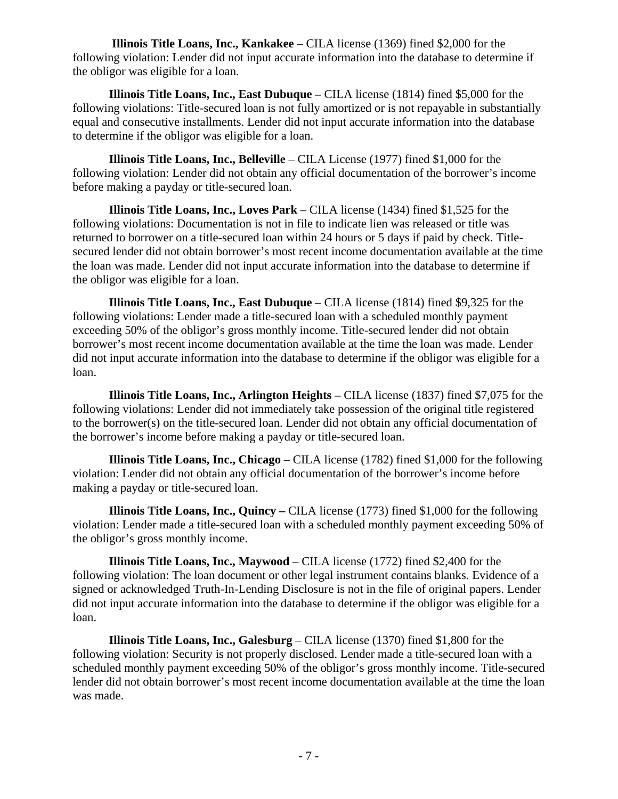**Illinois Title Loans, Inc., Kankakee** – CILA license (1369) fined \$2,000 for the following violation: Lender did not input accurate information into the database to determine if the obligor was eligible for a loan.

**Illinois Title Loans, Inc., East Dubuque –** CILA license (1814) fined \$5,000 for the following violations: Title-secured loan is not fully amortized or is not repayable in substantially equal and consecutive installments. Lender did not input accurate information into the database to determine if the obligor was eligible for a loan.

**Illinois Title Loans, Inc., Belleville** – CILA License (1977) fined \$1,000 for the following violation: Lender did not obtain any official documentation of the borrower's income before making a payday or title-secured loan.

**Illinois Title Loans, Inc., Loves Park** – CILA license (1434) fined \$1,525 for the following violations: Documentation is not in file to indicate lien was released or title was returned to borrower on a title-secured loan within 24 hours or 5 days if paid by check. Titlesecured lender did not obtain borrower's most recent income documentation available at the time the loan was made. Lender did not input accurate information into the database to determine if the obligor was eligible for a loan.

**Illinois Title Loans, Inc., East Dubuque** – CILA license (1814) fined \$9,325 for the following violations: Lender made a title-secured loan with a scheduled monthly payment exceeding 50% of the obligor's gross monthly income. Title-secured lender did not obtain borrower's most recent income documentation available at the time the loan was made. Lender did not input accurate information into the database to determine if the obligor was eligible for a loan.

**Illinois Title Loans, Inc., Arlington Heights –** CILA license (1837) fined \$7,075 for the following violations: Lender did not immediately take possession of the original title registered to the borrower(s) on the title-secured loan. Lender did not obtain any official documentation of the borrower's income before making a payday or title-secured loan.

**Illinois Title Loans, Inc., Chicago** – CILA license (1782) fined \$1,000 for the following violation: Lender did not obtain any official documentation of the borrower's income before making a payday or title-secured loan.

**Illinois Title Loans, Inc., Quincy –** CILA license (1773) fined \$1,000 for the following violation: Lender made a title-secured loan with a scheduled monthly payment exceeding 50% of the obligor's gross monthly income.

**Illinois Title Loans, Inc., Maywood** – CILA license (1772) fined \$2,400 for the following violation: The loan document or other legal instrument contains blanks. Evidence of a signed or acknowledged Truth-In-Lending Disclosure is not in the file of original papers. Lender did not input accurate information into the database to determine if the obligor was eligible for a loan.

**Illinois Title Loans, Inc., Galesburg** – CILA license (1370) fined \$1,800 for the following violation: Security is not properly disclosed. Lender made a title-secured loan with a scheduled monthly payment exceeding 50% of the obligor's gross monthly income. Title-secured lender did not obtain borrower's most recent income documentation available at the time the loan was made.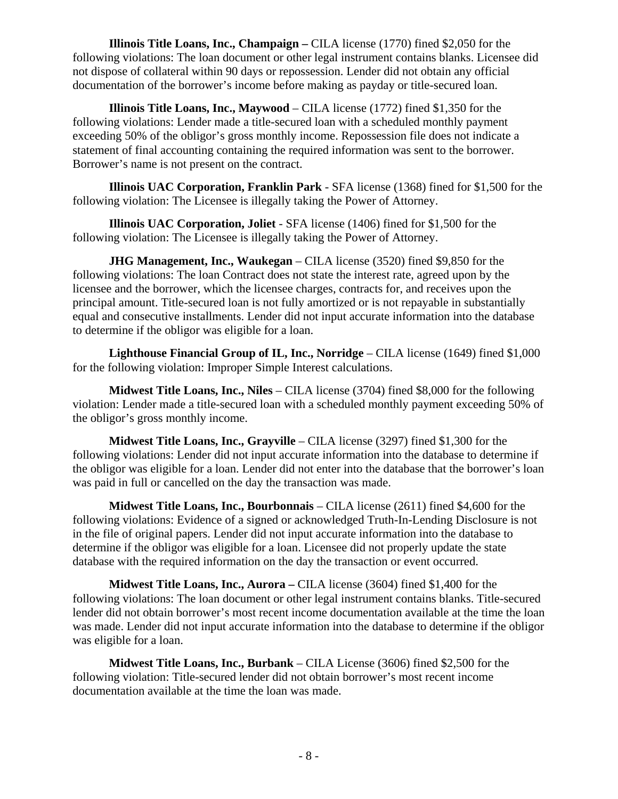**Illinois Title Loans, Inc., Champaign –** CILA license (1770) fined \$2,050 for the following violations: The loan document or other legal instrument contains blanks. Licensee did not dispose of collateral within 90 days or repossession. Lender did not obtain any official documentation of the borrower's income before making as payday or title-secured loan.

**Illinois Title Loans, Inc., Maywood** – CILA license (1772) fined \$1,350 for the following violations: Lender made a title-secured loan with a scheduled monthly payment exceeding 50% of the obligor's gross monthly income. Repossession file does not indicate a statement of final accounting containing the required information was sent to the borrower. Borrower's name is not present on the contract.

**Illinois UAC Corporation, Franklin Park** - SFA license (1368) fined for \$1,500 for the following violation: The Licensee is illegally taking the Power of Attorney.

**Illinois UAC Corporation, Joliet** - SFA license (1406) fined for \$1,500 for the following violation: The Licensee is illegally taking the Power of Attorney.

**JHG Management, Inc., Waukegan** – CILA license (3520) fined \$9,850 for the following violations: The loan Contract does not state the interest rate, agreed upon by the licensee and the borrower, which the licensee charges, contracts for, and receives upon the principal amount. Title-secured loan is not fully amortized or is not repayable in substantially equal and consecutive installments. Lender did not input accurate information into the database to determine if the obligor was eligible for a loan.

**Lighthouse Financial Group of IL, Inc., Norridge** – CILA license (1649) fined \$1,000 for the following violation: Improper Simple Interest calculations.

**Midwest Title Loans, Inc., Niles** – CILA license (3704) fined \$8,000 for the following violation: Lender made a title-secured loan with a scheduled monthly payment exceeding 50% of the obligor's gross monthly income.

**Midwest Title Loans, Inc., Grayville** – CILA license (3297) fined \$1,300 for the following violations: Lender did not input accurate information into the database to determine if the obligor was eligible for a loan. Lender did not enter into the database that the borrower's loan was paid in full or cancelled on the day the transaction was made.

**Midwest Title Loans, Inc., Bourbonnais** – CILA license (2611) fined \$4,600 for the following violations: Evidence of a signed or acknowledged Truth-In-Lending Disclosure is not in the file of original papers. Lender did not input accurate information into the database to determine if the obligor was eligible for a loan. Licensee did not properly update the state database with the required information on the day the transaction or event occurred.

**Midwest Title Loans, Inc., Aurora –** CILA license (3604) fined \$1,400 for the following violations: The loan document or other legal instrument contains blanks. Title-secured lender did not obtain borrower's most recent income documentation available at the time the loan was made. Lender did not input accurate information into the database to determine if the obligor was eligible for a loan.

**Midwest Title Loans, Inc., Burbank** – CILA License (3606) fined \$2,500 for the following violation: Title-secured lender did not obtain borrower's most recent income documentation available at the time the loan was made.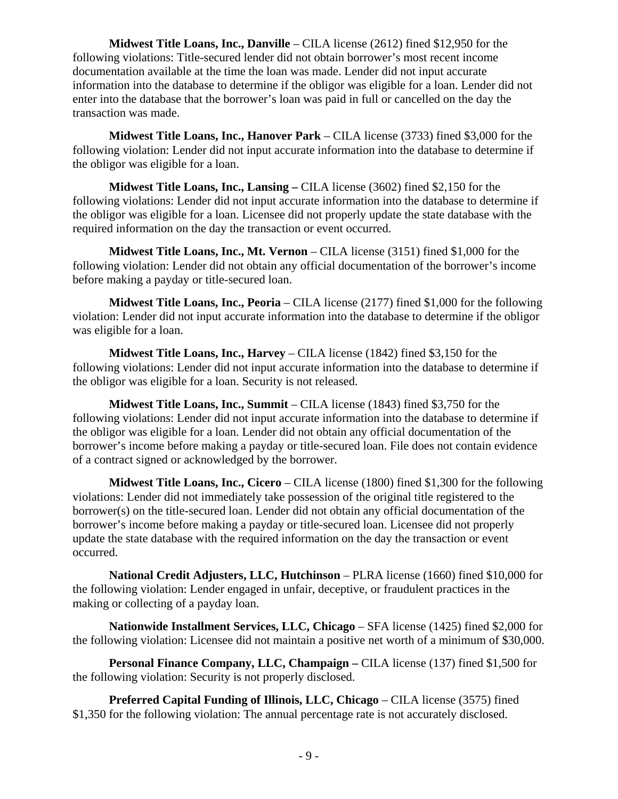**Midwest Title Loans, Inc., Danville** – CILA license (2612) fined \$12,950 for the following violations: Title-secured lender did not obtain borrower's most recent income documentation available at the time the loan was made. Lender did not input accurate information into the database to determine if the obligor was eligible for a loan. Lender did not enter into the database that the borrower's loan was paid in full or cancelled on the day the transaction was made.

**Midwest Title Loans, Inc., Hanover Park** – CILA license (3733) fined \$3,000 for the following violation: Lender did not input accurate information into the database to determine if the obligor was eligible for a loan.

**Midwest Title Loans, Inc., Lansing –** CILA license (3602) fined \$2,150 for the following violations: Lender did not input accurate information into the database to determine if the obligor was eligible for a loan. Licensee did not properly update the state database with the required information on the day the transaction or event occurred.

**Midwest Title Loans, Inc., Mt. Vernon** – CILA license (3151) fined \$1,000 for the following violation: Lender did not obtain any official documentation of the borrower's income before making a payday or title-secured loan.

**Midwest Title Loans, Inc., Peoria** – CILA license (2177) fined \$1,000 for the following violation: Lender did not input accurate information into the database to determine if the obligor was eligible for a loan.

**Midwest Title Loans, Inc., Harvey** – CILA license (1842) fined \$3,150 for the following violations: Lender did not input accurate information into the database to determine if the obligor was eligible for a loan. Security is not released.

**Midwest Title Loans, Inc., Summit** – CILA license (1843) fined \$3,750 for the following violations: Lender did not input accurate information into the database to determine if the obligor was eligible for a loan. Lender did not obtain any official documentation of the borrower's income before making a payday or title-secured loan. File does not contain evidence of a contract signed or acknowledged by the borrower.

**Midwest Title Loans, Inc., Cicero** – CILA license (1800) fined \$1,300 for the following violations: Lender did not immediately take possession of the original title registered to the borrower(s) on the title-secured loan. Lender did not obtain any official documentation of the borrower's income before making a payday or title-secured loan. Licensee did not properly update the state database with the required information on the day the transaction or event occurred.

**National Credit Adjusters, LLC, Hutchinson** – PLRA license (1660) fined \$10,000 for the following violation: Lender engaged in unfair, deceptive, or fraudulent practices in the making or collecting of a payday loan.

**Nationwide Installment Services, LLC, Chicago** – SFA license (1425) fined \$2,000 for the following violation: Licensee did not maintain a positive net worth of a minimum of \$30,000.

**Personal Finance Company, LLC, Champaign –** CILA license (137) fined \$1,500 for the following violation: Security is not properly disclosed.

**Preferred Capital Funding of Illinois, LLC, Chicago – CILA license (3575) fined** \$1,350 for the following violation: The annual percentage rate is not accurately disclosed.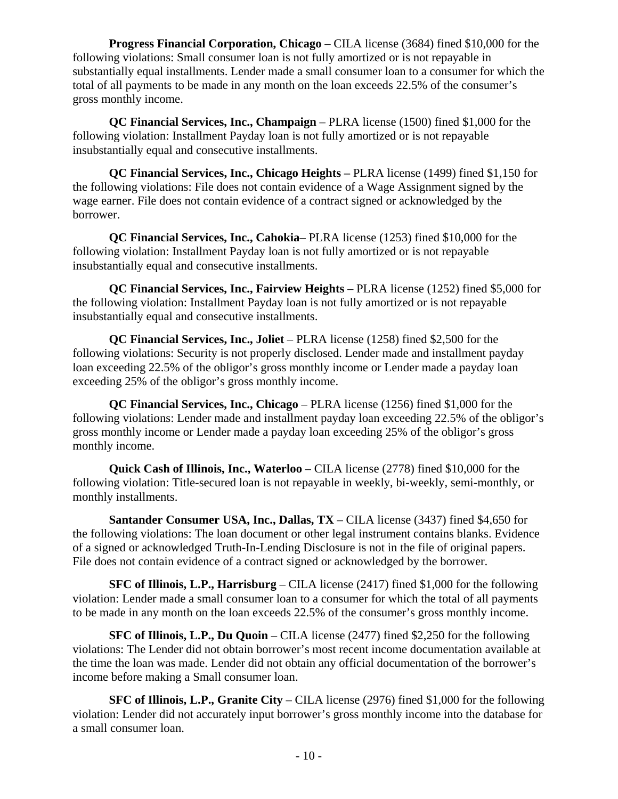**Progress Financial Corporation, Chicago** – CILA license (3684) fined \$10,000 for the following violations: Small consumer loan is not fully amortized or is not repayable in substantially equal installments. Lender made a small consumer loan to a consumer for which the total of all payments to be made in any month on the loan exceeds 22.5% of the consumer's gross monthly income.

**QC Financial Services, Inc., Champaign** – PLRA license (1500) fined \$1,000 for the following violation: Installment Payday loan is not fully amortized or is not repayable insubstantially equal and consecutive installments.

**QC Financial Services, Inc., Chicago Heights –** PLRA license (1499) fined \$1,150 for the following violations: File does not contain evidence of a Wage Assignment signed by the wage earner. File does not contain evidence of a contract signed or acknowledged by the borrower.

**QC Financial Services, Inc., Cahokia**– PLRA license (1253) fined \$10,000 for the following violation: Installment Payday loan is not fully amortized or is not repayable insubstantially equal and consecutive installments.

**QC Financial Services, Inc., Fairview Heights** – PLRA license (1252) fined \$5,000 for the following violation: Installment Payday loan is not fully amortized or is not repayable insubstantially equal and consecutive installments.

**QC Financial Services, Inc., Joliet** – PLRA license (1258) fined \$2,500 for the following violations: Security is not properly disclosed. Lender made and installment payday loan exceeding 22.5% of the obligor's gross monthly income or Lender made a payday loan exceeding 25% of the obligor's gross monthly income.

**QC Financial Services, Inc., Chicago** – PLRA license (1256) fined \$1,000 for the following violations: Lender made and installment payday loan exceeding 22.5% of the obligor's gross monthly income or Lender made a payday loan exceeding 25% of the obligor's gross monthly income.

**Quick Cash of Illinois, Inc., Waterloo** – CILA license (2778) fined \$10,000 for the following violation: Title-secured loan is not repayable in weekly, bi-weekly, semi-monthly, or monthly installments.

**Santander Consumer USA, Inc., Dallas, TX** – CILA license (3437) fined \$4,650 for the following violations: The loan document or other legal instrument contains blanks. Evidence of a signed or acknowledged Truth-In-Lending Disclosure is not in the file of original papers. File does not contain evidence of a contract signed or acknowledged by the borrower.

**SFC of Illinois, L.P., Harrisburg** – CILA license (2417) fined \$1,000 for the following violation: Lender made a small consumer loan to a consumer for which the total of all payments to be made in any month on the loan exceeds 22.5% of the consumer's gross monthly income.

**SFC of Illinois, L.P., Du Quoin** – CILA license (2477) fined \$2,250 for the following violations: The Lender did not obtain borrower's most recent income documentation available at the time the loan was made. Lender did not obtain any official documentation of the borrower's income before making a Small consumer loan.

**SFC of Illinois, L.P., Granite City** – CILA license (2976) fined \$1,000 for the following violation: Lender did not accurately input borrower's gross monthly income into the database for a small consumer loan.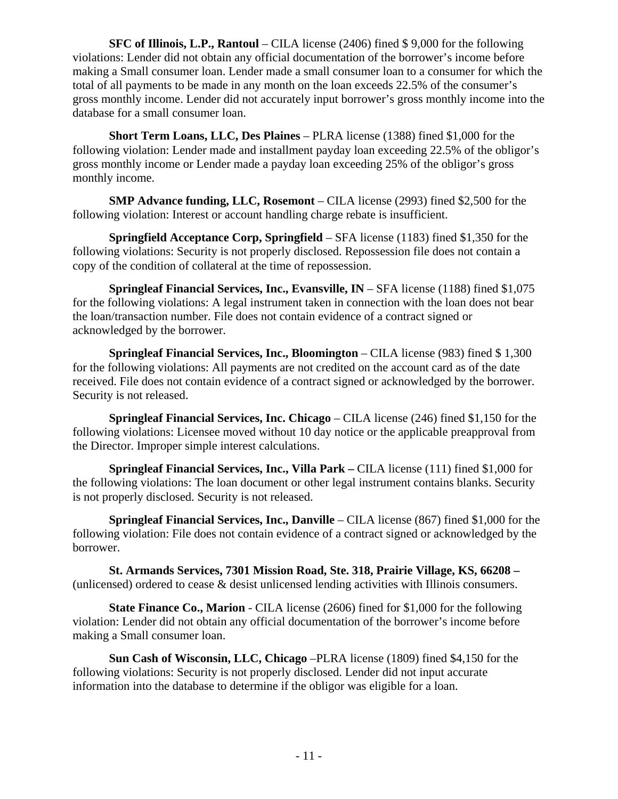**SFC of Illinois, L.P., Rantoul** – CILA license (2406) fined \$ 9,000 for the following violations: Lender did not obtain any official documentation of the borrower's income before making a Small consumer loan. Lender made a small consumer loan to a consumer for which the total of all payments to be made in any month on the loan exceeds 22.5% of the consumer's gross monthly income. Lender did not accurately input borrower's gross monthly income into the database for a small consumer loan.

**Short Term Loans, LLC, Des Plaines** – PLRA license (1388) fined \$1,000 for the following violation: Lender made and installment payday loan exceeding 22.5% of the obligor's gross monthly income or Lender made a payday loan exceeding 25% of the obligor's gross monthly income.

**SMP Advance funding, LLC, Rosemont** – CILA license (2993) fined \$2,500 for the following violation: Interest or account handling charge rebate is insufficient.

**Springfield Acceptance Corp, Springfield** – SFA license (1183) fined \$1,350 for the following violations: Security is not properly disclosed. Repossession file does not contain a copy of the condition of collateral at the time of repossession.

**Springleaf Financial Services, Inc., Evansville, IN** – SFA license (1188) fined \$1,075 for the following violations: A legal instrument taken in connection with the loan does not bear the loan/transaction number. File does not contain evidence of a contract signed or acknowledged by the borrower.

**Springleaf Financial Services, Inc., Bloomington** – CILA license (983) fined \$ 1,300 for the following violations: All payments are not credited on the account card as of the date received. File does not contain evidence of a contract signed or acknowledged by the borrower. Security is not released.

**Springleaf Financial Services, Inc. Chicago** – CILA license (246) fined \$1,150 for the following violations: Licensee moved without 10 day notice or the applicable preapproval from the Director. Improper simple interest calculations.

**Springleaf Financial Services, Inc., Villa Park –** CILA license (111) fined \$1,000 for the following violations: The loan document or other legal instrument contains blanks. Security is not properly disclosed. Security is not released.

**Springleaf Financial Services, Inc., Danville** – CILA license (867) fined \$1,000 for the following violation: File does not contain evidence of a contract signed or acknowledged by the borrower.

**St. Armands Services, 7301 Mission Road, Ste. 318, Prairie Village, KS, 66208 –**  (unlicensed) ordered to cease & desist unlicensed lending activities with Illinois consumers.

**State Finance Co., Marion** - CILA license (2606) fined for \$1,000 for the following violation: Lender did not obtain any official documentation of the borrower's income before making a Small consumer loan.

**Sun Cash of Wisconsin, LLC, Chicago** –PLRA license (1809) fined \$4,150 for the following violations: Security is not properly disclosed. Lender did not input accurate information into the database to determine if the obligor was eligible for a loan.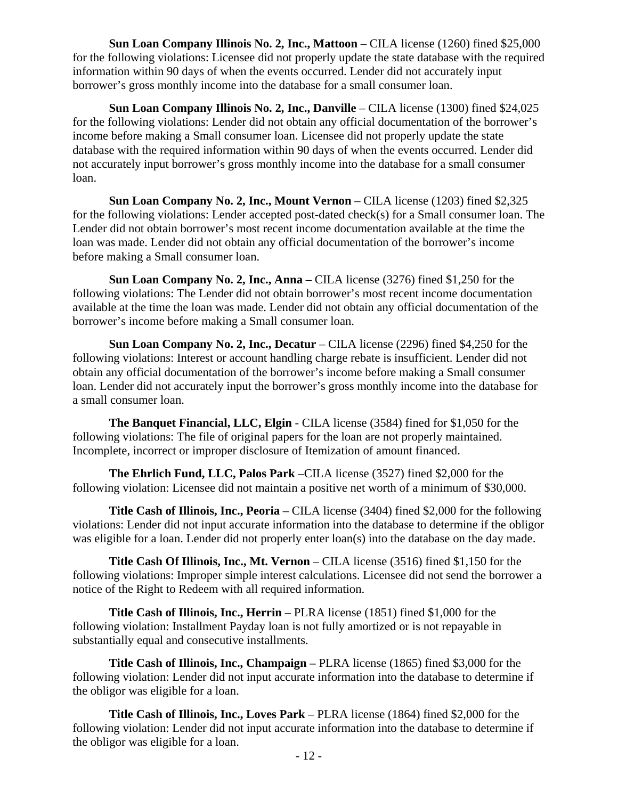**Sun Loan Company Illinois No. 2, Inc., Mattoon** – CILA license (1260) fined \$25,000 for the following violations: Licensee did not properly update the state database with the required information within 90 days of when the events occurred. Lender did not accurately input borrower's gross monthly income into the database for a small consumer loan.

**Sun Loan Company Illinois No. 2, Inc., Danville** – CILA license (1300) fined \$24,025 for the following violations: Lender did not obtain any official documentation of the borrower's income before making a Small consumer loan. Licensee did not properly update the state database with the required information within 90 days of when the events occurred. Lender did not accurately input borrower's gross monthly income into the database for a small consumer loan.

**Sun Loan Company No. 2, Inc., Mount Vernon** – CILA license (1203) fined \$2,325 for the following violations: Lender accepted post-dated check(s) for a Small consumer loan. The Lender did not obtain borrower's most recent income documentation available at the time the loan was made. Lender did not obtain any official documentation of the borrower's income before making a Small consumer loan.

**Sun Loan Company No. 2, Inc., Anna –** CILA license (3276) fined \$1,250 for the following violations: The Lender did not obtain borrower's most recent income documentation available at the time the loan was made. Lender did not obtain any official documentation of the borrower's income before making a Small consumer loan.

**Sun Loan Company No. 2, Inc., Decatur** – CILA license (2296) fined \$4,250 for the following violations: Interest or account handling charge rebate is insufficient. Lender did not obtain any official documentation of the borrower's income before making a Small consumer loan. Lender did not accurately input the borrower's gross monthly income into the database for a small consumer loan.

**The Banquet Financial, LLC, Elgin** - CILA license (3584) fined for \$1,050 for the following violations: The file of original papers for the loan are not properly maintained. Incomplete, incorrect or improper disclosure of Itemization of amount financed.

**The Ehrlich Fund, LLC, Palos Park** –CILA license (3527) fined \$2,000 for the following violation: Licensee did not maintain a positive net worth of a minimum of \$30,000.

**Title Cash of Illinois, Inc., Peoria** – CILA license (3404) fined \$2,000 for the following violations: Lender did not input accurate information into the database to determine if the obligor was eligible for a loan. Lender did not properly enter loan(s) into the database on the day made.

**Title Cash Of Illinois, Inc., Mt. Vernon** – CILA license (3516) fined \$1,150 for the following violations: Improper simple interest calculations. Licensee did not send the borrower a notice of the Right to Redeem with all required information.

**Title Cash of Illinois, Inc., Herrin** – PLRA license (1851) fined \$1,000 for the following violation: Installment Payday loan is not fully amortized or is not repayable in substantially equal and consecutive installments.

**Title Cash of Illinois, Inc., Champaign –** PLRA license (1865) fined \$3,000 for the following violation: Lender did not input accurate information into the database to determine if the obligor was eligible for a loan.

**Title Cash of Illinois, Inc., Loves Park** – PLRA license (1864) fined \$2,000 for the following violation: Lender did not input accurate information into the database to determine if the obligor was eligible for a loan.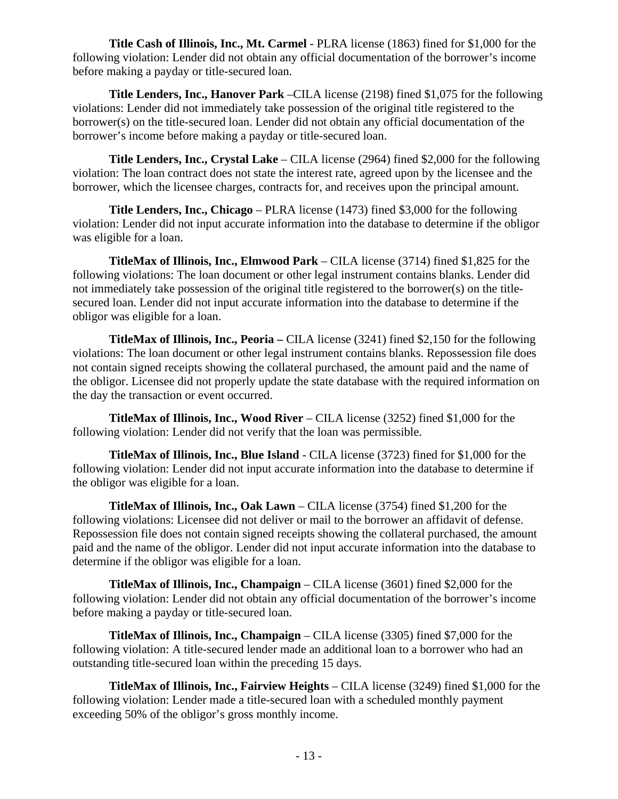**Title Cash of Illinois, Inc., Mt. Carmel** - PLRA license (1863) fined for \$1,000 for the following violation: Lender did not obtain any official documentation of the borrower's income before making a payday or title-secured loan.

**Title Lenders, Inc., Hanover Park** –CILA license (2198) fined \$1,075 for the following violations: Lender did not immediately take possession of the original title registered to the borrower(s) on the title-secured loan. Lender did not obtain any official documentation of the borrower's income before making a payday or title-secured loan.

**Title Lenders, Inc., Crystal Lake** – CILA license (2964) fined \$2,000 for the following violation: The loan contract does not state the interest rate, agreed upon by the licensee and the borrower, which the licensee charges, contracts for, and receives upon the principal amount.

**Title Lenders, Inc., Chicago** – PLRA license (1473) fined \$3,000 for the following violation: Lender did not input accurate information into the database to determine if the obligor was eligible for a loan.

**TitleMax of Illinois, Inc., Elmwood Park** – CILA license (3714) fined \$1,825 for the following violations: The loan document or other legal instrument contains blanks. Lender did not immediately take possession of the original title registered to the borrower(s) on the titlesecured loan. Lender did not input accurate information into the database to determine if the obligor was eligible for a loan.

**TitleMax of Illinois, Inc., Peoria –** CILA license (3241) fined \$2,150 for the following violations: The loan document or other legal instrument contains blanks. Repossession file does not contain signed receipts showing the collateral purchased, the amount paid and the name of the obligor. Licensee did not properly update the state database with the required information on the day the transaction or event occurred.

**TitleMax of Illinois, Inc., Wood River** – CILA license (3252) fined \$1,000 for the following violation: Lender did not verify that the loan was permissible.

**TitleMax of Illinois, Inc., Blue Island** - CILA license (3723) fined for \$1,000 for the following violation: Lender did not input accurate information into the database to determine if the obligor was eligible for a loan.

**TitleMax of Illinois, Inc., Oak Lawn** – CILA license (3754) fined \$1,200 for the following violations: Licensee did not deliver or mail to the borrower an affidavit of defense. Repossession file does not contain signed receipts showing the collateral purchased, the amount paid and the name of the obligor. Lender did not input accurate information into the database to determine if the obligor was eligible for a loan.

**TitleMax of Illinois, Inc., Champaign** – CILA license (3601) fined \$2,000 for the following violation: Lender did not obtain any official documentation of the borrower's income before making a payday or title-secured loan.

**TitleMax of Illinois, Inc., Champaign** – CILA license (3305) fined \$7,000 for the following violation: A title-secured lender made an additional loan to a borrower who had an outstanding title-secured loan within the preceding 15 days.

**TitleMax of Illinois, Inc., Fairview Heights** – CILA license (3249) fined \$1,000 for the following violation: Lender made a title-secured loan with a scheduled monthly payment exceeding 50% of the obligor's gross monthly income.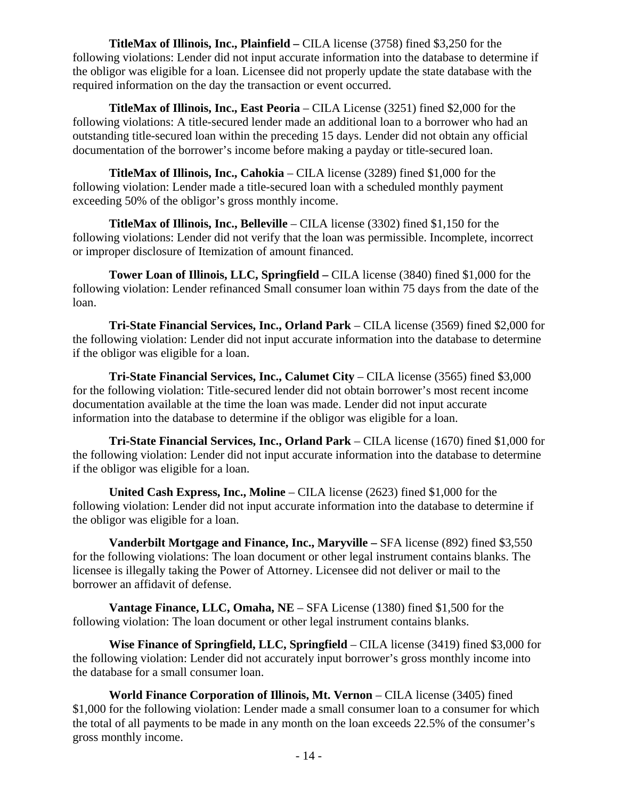**TitleMax of Illinois, Inc., Plainfield –** CILA license (3758) fined \$3,250 for the following violations: Lender did not input accurate information into the database to determine if the obligor was eligible for a loan. Licensee did not properly update the state database with the required information on the day the transaction or event occurred.

**TitleMax of Illinois, Inc., East Peoria** – CILA License (3251) fined \$2,000 for the following violations: A title-secured lender made an additional loan to a borrower who had an outstanding title-secured loan within the preceding 15 days. Lender did not obtain any official documentation of the borrower's income before making a payday or title-secured loan.

**TitleMax of Illinois, Inc., Cahokia** – CILA license (3289) fined \$1,000 for the following violation: Lender made a title-secured loan with a scheduled monthly payment exceeding 50% of the obligor's gross monthly income.

**TitleMax of Illinois, Inc., Belleville** – CILA license (3302) fined \$1,150 for the following violations: Lender did not verify that the loan was permissible. Incomplete, incorrect or improper disclosure of Itemization of amount financed.

**Tower Loan of Illinois, LLC, Springfield –** CILA license (3840) fined \$1,000 for the following violation: Lender refinanced Small consumer loan within 75 days from the date of the loan.

**Tri-State Financial Services, Inc., Orland Park** – CILA license (3569) fined \$2,000 for the following violation: Lender did not input accurate information into the database to determine if the obligor was eligible for a loan.

**Tri-State Financial Services, Inc., Calumet City** – CILA license (3565) fined \$3,000 for the following violation: Title-secured lender did not obtain borrower's most recent income documentation available at the time the loan was made. Lender did not input accurate information into the database to determine if the obligor was eligible for a loan.

**Tri-State Financial Services, Inc., Orland Park** – CILA license (1670) fined \$1,000 for the following violation: Lender did not input accurate information into the database to determine if the obligor was eligible for a loan.

**United Cash Express, Inc., Moline** – CILA license (2623) fined \$1,000 for the following violation: Lender did not input accurate information into the database to determine if the obligor was eligible for a loan.

**Vanderbilt Mortgage and Finance, Inc., Maryville –** SFA license (892) fined \$3,550 for the following violations: The loan document or other legal instrument contains blanks. The licensee is illegally taking the Power of Attorney. Licensee did not deliver or mail to the borrower an affidavit of defense.

**Vantage Finance, LLC, Omaha, NE** – SFA License (1380) fined \$1,500 for the following violation: The loan document or other legal instrument contains blanks.

**Wise Finance of Springfield, LLC, Springfield** – CILA license (3419) fined \$3,000 for the following violation: Lender did not accurately input borrower's gross monthly income into the database for a small consumer loan.

**World Finance Corporation of Illinois, Mt. Vernon** – CILA license (3405) fined \$1,000 for the following violation: Lender made a small consumer loan to a consumer for which the total of all payments to be made in any month on the loan exceeds 22.5% of the consumer's gross monthly income.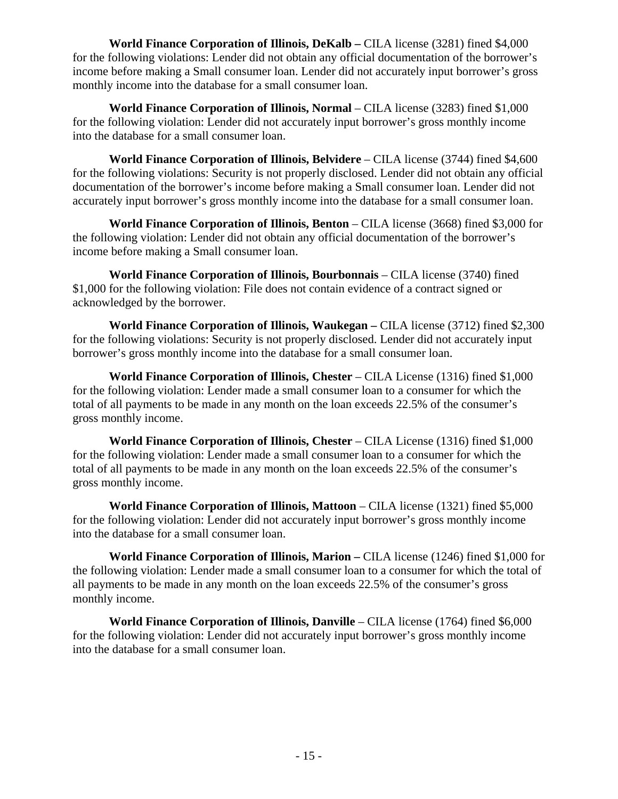**World Finance Corporation of Illinois, DeKalb –** CILA license (3281) fined \$4,000 for the following violations: Lender did not obtain any official documentation of the borrower's income before making a Small consumer loan. Lender did not accurately input borrower's gross monthly income into the database for a small consumer loan.

**World Finance Corporation of Illinois, Normal** – CILA license (3283) fined \$1,000 for the following violation: Lender did not accurately input borrower's gross monthly income into the database for a small consumer loan.

**World Finance Corporation of Illinois, Belvidere** – CILA license (3744) fined \$4,600 for the following violations: Security is not properly disclosed. Lender did not obtain any official documentation of the borrower's income before making a Small consumer loan. Lender did not accurately input borrower's gross monthly income into the database for a small consumer loan.

**World Finance Corporation of Illinois, Benton** – CILA license (3668) fined \$3,000 for the following violation: Lender did not obtain any official documentation of the borrower's income before making a Small consumer loan.

**World Finance Corporation of Illinois, Bourbonnais** – CILA license (3740) fined \$1,000 for the following violation: File does not contain evidence of a contract signed or acknowledged by the borrower.

**World Finance Corporation of Illinois, Waukegan –** CILA license (3712) fined \$2,300 for the following violations: Security is not properly disclosed. Lender did not accurately input borrower's gross monthly income into the database for a small consumer loan.

**World Finance Corporation of Illinois, Chester** – CILA License (1316) fined \$1,000 for the following violation: Lender made a small consumer loan to a consumer for which the total of all payments to be made in any month on the loan exceeds 22.5% of the consumer's gross monthly income.

**World Finance Corporation of Illinois, Chester – CILA License (1316) fined \$1,000** for the following violation: Lender made a small consumer loan to a consumer for which the total of all payments to be made in any month on the loan exceeds 22.5% of the consumer's gross monthly income.

**World Finance Corporation of Illinois, Mattoon** – CILA license (1321) fined \$5,000 for the following violation: Lender did not accurately input borrower's gross monthly income into the database for a small consumer loan.

**World Finance Corporation of Illinois, Marion –** CILA license (1246) fined \$1,000 for the following violation: Lender made a small consumer loan to a consumer for which the total of all payments to be made in any month on the loan exceeds 22.5% of the consumer's gross monthly income.

**World Finance Corporation of Illinois, Danville** – CILA license (1764) fined \$6,000 for the following violation: Lender did not accurately input borrower's gross monthly income into the database for a small consumer loan.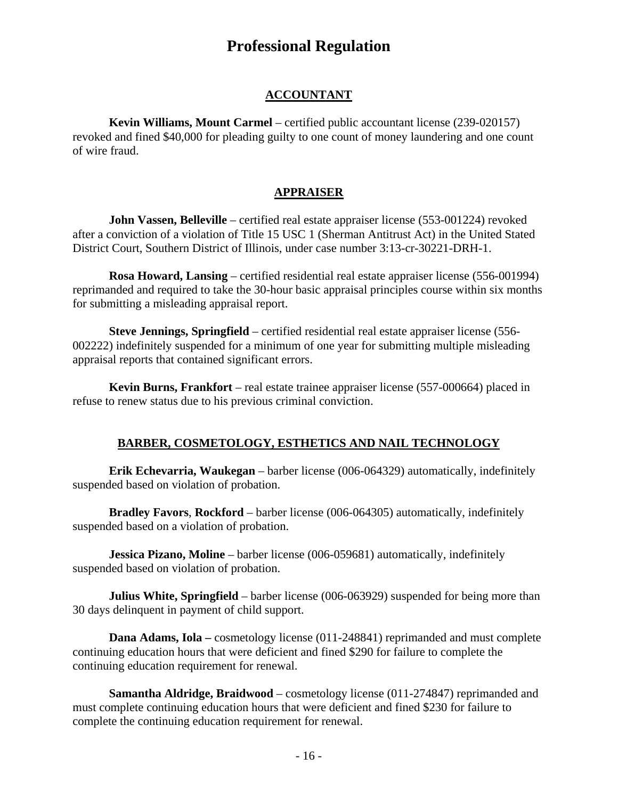# **Professional Regulation**

#### **ACCOUNTANT**

**Kevin Williams, Mount Carmel** – certified public accountant license (239-020157) revoked and fined \$40,000 for pleading guilty to one count of money laundering and one count of wire fraud.

#### **APPRAISER**

**John Vassen, Belleville** – certified real estate appraiser license (553-001224) revoked after a conviction of a violation of Title 15 USC 1 (Sherman Antitrust Act) in the United Stated District Court, Southern District of Illinois, under case number 3:13-cr-30221-DRH-1.

**Rosa Howard, Lansing** – certified residential real estate appraiser license (556-001994) reprimanded and required to take the 30-hour basic appraisal principles course within six months for submitting a misleading appraisal report.

**Steve Jennings, Springfield** – certified residential real estate appraiser license (556- 002222) indefinitely suspended for a minimum of one year for submitting multiple misleading appraisal reports that contained significant errors.

**Kevin Burns, Frankfort** – real estate trainee appraiser license (557-000664) placed in refuse to renew status due to his previous criminal conviction.

#### **BARBER, COSMETOLOGY, ESTHETICS AND NAIL TECHNOLOGY**

**Erik Echevarria, Waukegan** – barber license (006-064329) automatically, indefinitely suspended based on violation of probation.

**Bradley Favors**, **Rockford** – barber license (006-064305) automatically, indefinitely suspended based on a violation of probation.

**Jessica Pizano, Moline** – barber license (006-059681) automatically, indefinitely suspended based on violation of probation.

**Julius White, Springfield** – barber license (006-063929) suspended for being more than 30 days delinquent in payment of child support.

**Dana Adams, Iola** – cosmetology license (011-248841) reprimanded and must complete continuing education hours that were deficient and fined \$290 for failure to complete the continuing education requirement for renewal.

**Samantha Aldridge, Braidwood** – cosmetology license (011-274847) reprimanded and must complete continuing education hours that were deficient and fined \$230 for failure to complete the continuing education requirement for renewal.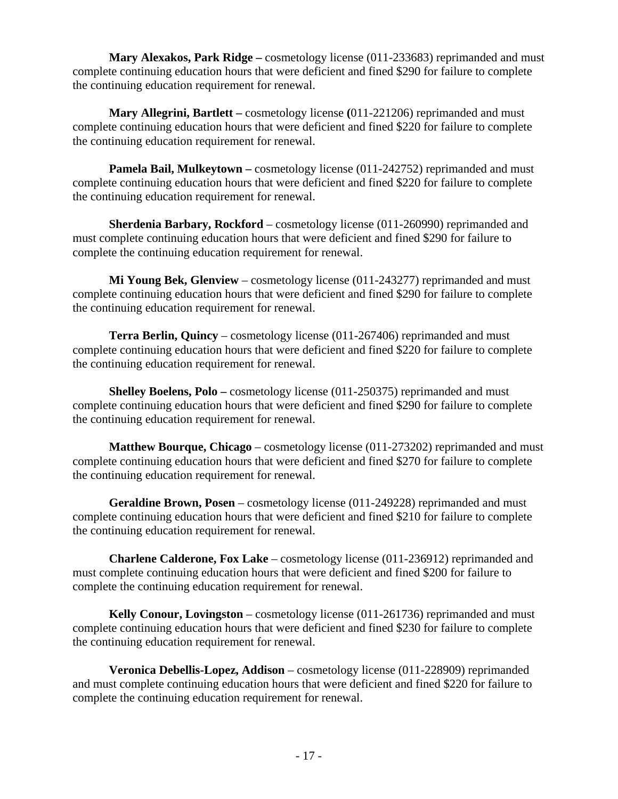**Mary Alexakos, Park Ridge –** cosmetology license (011-233683) reprimanded and must complete continuing education hours that were deficient and fined \$290 for failure to complete the continuing education requirement for renewal.

**Mary Allegrini, Bartlett –** cosmetology license **(**011-221206) reprimanded and must complete continuing education hours that were deficient and fined \$220 for failure to complete the continuing education requirement for renewal.

**Pamela Bail, Mulkeytown** – cosmetology license (011-242752) reprimanded and must complete continuing education hours that were deficient and fined \$220 for failure to complete the continuing education requirement for renewal.

**Sherdenia Barbary, Rockford** – cosmetology license (011-260990) reprimanded and must complete continuing education hours that were deficient and fined \$290 for failure to complete the continuing education requirement for renewal.

**Mi Young Bek, Glenview** – cosmetology license (011-243277) reprimanded and must complete continuing education hours that were deficient and fined \$290 for failure to complete the continuing education requirement for renewal.

**Terra Berlin, Quincy** – cosmetology license (011-267406) reprimanded and must complete continuing education hours that were deficient and fined \$220 for failure to complete the continuing education requirement for renewal.

**Shelley Boelens, Polo –** cosmetology license (011-250375) reprimanded and must complete continuing education hours that were deficient and fined \$290 for failure to complete the continuing education requirement for renewal.

**Matthew Bourque, Chicago** – cosmetology license (011-273202) reprimanded and must complete continuing education hours that were deficient and fined \$270 for failure to complete the continuing education requirement for renewal.

**Geraldine Brown, Posen** – cosmetology license (011-249228) reprimanded and must complete continuing education hours that were deficient and fined \$210 for failure to complete the continuing education requirement for renewal.

**Charlene Calderone, Fox Lake** – cosmetology license (011-236912) reprimanded and must complete continuing education hours that were deficient and fined \$200 for failure to complete the continuing education requirement for renewal.

**Kelly Conour, Lovingston** – cosmetology license (011-261736) reprimanded and must complete continuing education hours that were deficient and fined \$230 for failure to complete the continuing education requirement for renewal.

**Veronica Debellis-Lopez, Addison** – cosmetology license (011-228909) reprimanded and must complete continuing education hours that were deficient and fined \$220 for failure to complete the continuing education requirement for renewal.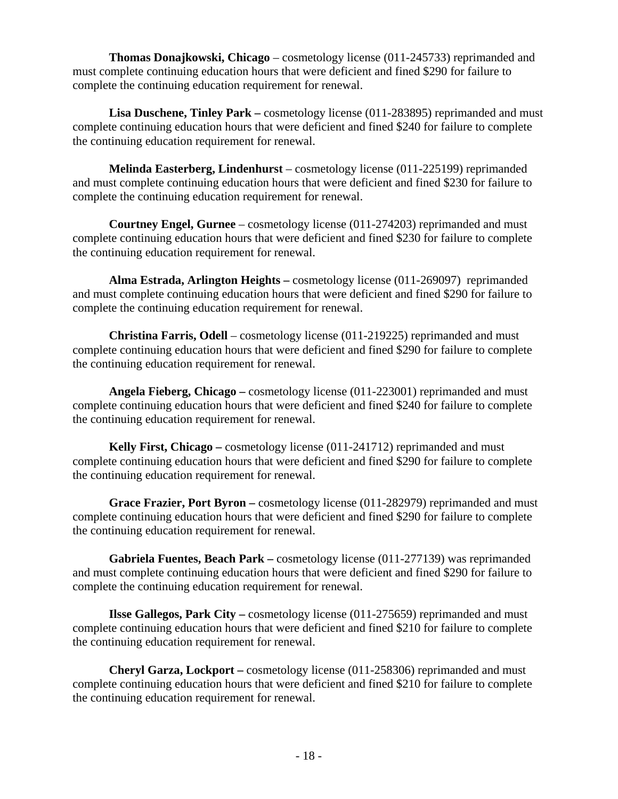**Thomas Donajkowski, Chicago** – cosmetology license (011-245733) reprimanded and must complete continuing education hours that were deficient and fined \$290 for failure to complete the continuing education requirement for renewal.

**Lisa Duschene, Tinley Park –** cosmetology license (011-283895) reprimanded and must complete continuing education hours that were deficient and fined \$240 for failure to complete the continuing education requirement for renewal.

**Melinda Easterberg, Lindenhurst** – cosmetology license (011-225199) reprimanded and must complete continuing education hours that were deficient and fined \$230 for failure to complete the continuing education requirement for renewal.

**Courtney Engel, Gurnee** – cosmetology license (011-274203) reprimanded and must complete continuing education hours that were deficient and fined \$230 for failure to complete the continuing education requirement for renewal.

**Alma Estrada, Arlington Heights –** cosmetology license (011-269097) reprimanded and must complete continuing education hours that were deficient and fined \$290 for failure to complete the continuing education requirement for renewal.

**Christina Farris, Odell** – cosmetology license (011-219225) reprimanded and must complete continuing education hours that were deficient and fined \$290 for failure to complete the continuing education requirement for renewal.

**Angela Fieberg, Chicago –** cosmetology license (011-223001) reprimanded and must complete continuing education hours that were deficient and fined \$240 for failure to complete the continuing education requirement for renewal.

**Kelly First, Chicago –** cosmetology license (011-241712) reprimanded and must complete continuing education hours that were deficient and fined \$290 for failure to complete the continuing education requirement for renewal.

**Grace Frazier, Port Byron –** cosmetology license (011-282979) reprimanded and must complete continuing education hours that were deficient and fined \$290 for failure to complete the continuing education requirement for renewal.

**Gabriela Fuentes, Beach Park –** cosmetology license (011-277139) was reprimanded and must complete continuing education hours that were deficient and fined \$290 for failure to complete the continuing education requirement for renewal.

**Ilsse Gallegos, Park City** – cosmetology license (011-275659) reprimanded and must complete continuing education hours that were deficient and fined \$210 for failure to complete the continuing education requirement for renewal.

**Cheryl Garza, Lockport –** cosmetology license (011-258306) reprimanded and must complete continuing education hours that were deficient and fined \$210 for failure to complete the continuing education requirement for renewal.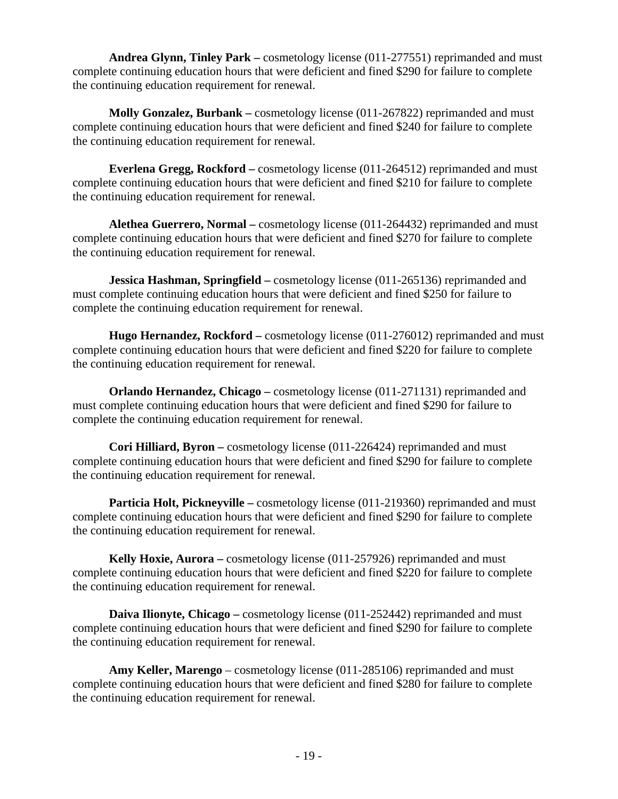**Andrea Glynn, Tinley Park –** cosmetology license (011-277551) reprimanded and must complete continuing education hours that were deficient and fined \$290 for failure to complete the continuing education requirement for renewal.

**Molly Gonzalez, Burbank –** cosmetology license (011-267822) reprimanded and must complete continuing education hours that were deficient and fined \$240 for failure to complete the continuing education requirement for renewal.

**Everlena Gregg, Rockford –** cosmetology license (011-264512) reprimanded and must complete continuing education hours that were deficient and fined \$210 for failure to complete the continuing education requirement for renewal.

**Alethea Guerrero, Normal –** cosmetology license (011-264432) reprimanded and must complete continuing education hours that were deficient and fined \$270 for failure to complete the continuing education requirement for renewal.

**Jessica Hashman, Springfield – cosmetology license (011-265136) reprimanded and** must complete continuing education hours that were deficient and fined \$250 for failure to complete the continuing education requirement for renewal.

**Hugo Hernandez, Rockford –** cosmetology license (011-276012) reprimanded and must complete continuing education hours that were deficient and fined \$220 for failure to complete the continuing education requirement for renewal.

**Orlando Hernandez, Chicago –** cosmetology license (011-271131) reprimanded and must complete continuing education hours that were deficient and fined \$290 for failure to complete the continuing education requirement for renewal.

**Cori Hilliard, Byron –** cosmetology license (011-226424) reprimanded and must complete continuing education hours that were deficient and fined \$290 for failure to complete the continuing education requirement for renewal.

**Particia Holt, Pickneyville** – cosmetology license (011-219360) reprimanded and must complete continuing education hours that were deficient and fined \$290 for failure to complete the continuing education requirement for renewal.

**Kelly Hoxie, Aurora –** cosmetology license (011-257926) reprimanded and must complete continuing education hours that were deficient and fined \$220 for failure to complete the continuing education requirement for renewal.

**Daiva Ilionyte, Chicago** – cosmetology license (011-252442) reprimanded and must complete continuing education hours that were deficient and fined \$290 for failure to complete the continuing education requirement for renewal.

**Amy Keller, Marengo** – cosmetology license (011-285106) reprimanded and must complete continuing education hours that were deficient and fined \$280 for failure to complete the continuing education requirement for renewal.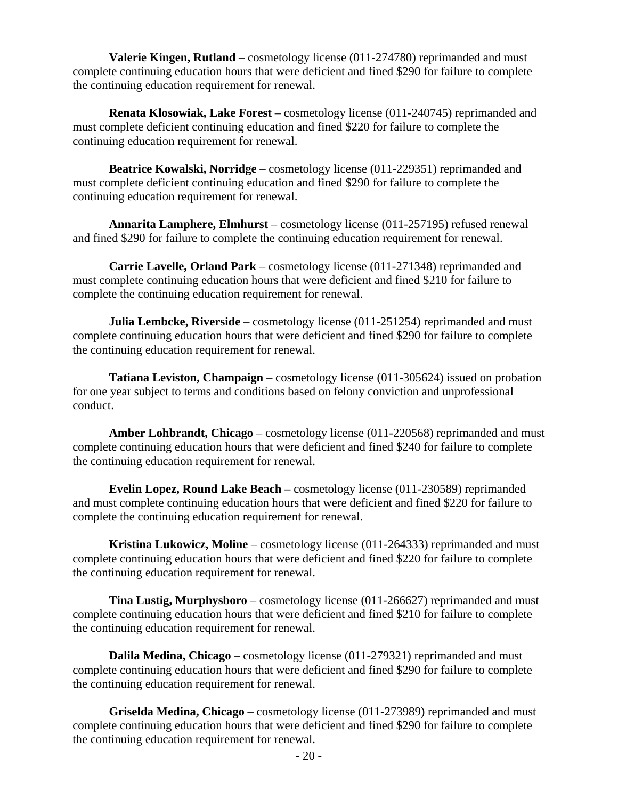**Valerie Kingen, Rutland** – cosmetology license (011-274780) reprimanded and must complete continuing education hours that were deficient and fined \$290 for failure to complete the continuing education requirement for renewal.

**Renata Klosowiak, Lake Forest** – cosmetology license (011-240745) reprimanded and must complete deficient continuing education and fined \$220 for failure to complete the continuing education requirement for renewal.

**Beatrice Kowalski, Norridge** – cosmetology license (011-229351) reprimanded and must complete deficient continuing education and fined \$290 for failure to complete the continuing education requirement for renewal.

**Annarita Lamphere, Elmhurst** – cosmetology license (011-257195) refused renewal and fined \$290 for failure to complete the continuing education requirement for renewal.

**Carrie Lavelle, Orland Park** – cosmetology license (011-271348) reprimanded and must complete continuing education hours that were deficient and fined \$210 for failure to complete the continuing education requirement for renewal.

**Julia Lembcke, Riverside** – cosmetology license (011-251254) reprimanded and must complete continuing education hours that were deficient and fined \$290 for failure to complete the continuing education requirement for renewal.

**Tatiana Leviston, Champaign** – cosmetology license (011-305624) issued on probation for one year subject to terms and conditions based on felony conviction and unprofessional conduct.

**Amber Lohbrandt, Chicago** – cosmetology license (011-220568) reprimanded and must complete continuing education hours that were deficient and fined \$240 for failure to complete the continuing education requirement for renewal.

**Evelin Lopez, Round Lake Beach –** cosmetology license (011-230589) reprimanded and must complete continuing education hours that were deficient and fined \$220 for failure to complete the continuing education requirement for renewal.

**Kristina Lukowicz, Moline** – cosmetology license (011-264333) reprimanded and must complete continuing education hours that were deficient and fined \$220 for failure to complete the continuing education requirement for renewal.

**Tina Lustig, Murphysboro** – cosmetology license (011-266627) reprimanded and must complete continuing education hours that were deficient and fined \$210 for failure to complete the continuing education requirement for renewal.

**Dalila Medina, Chicago** – cosmetology license (011-279321) reprimanded and must complete continuing education hours that were deficient and fined \$290 for failure to complete the continuing education requirement for renewal.

**Griselda Medina, Chicago** – cosmetology license (011-273989) reprimanded and must complete continuing education hours that were deficient and fined \$290 for failure to complete the continuing education requirement for renewal.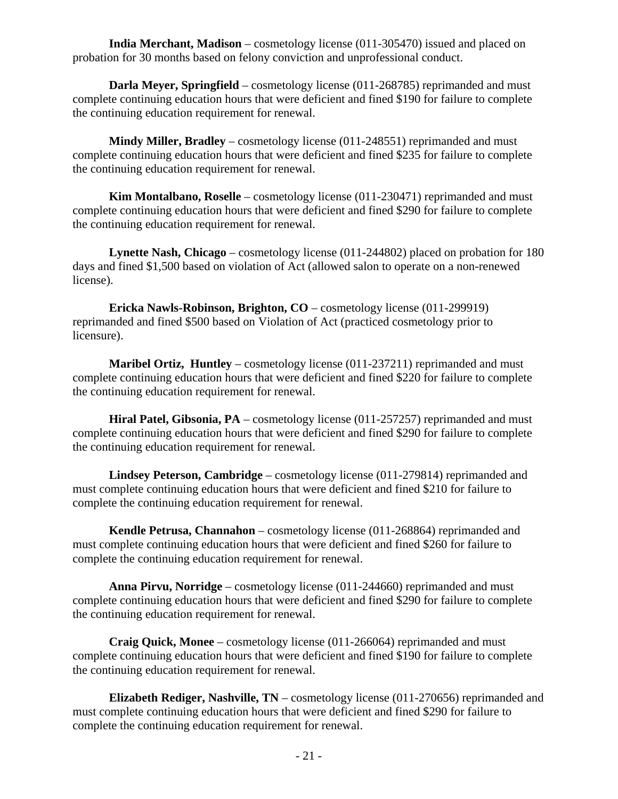**India Merchant, Madison** – cosmetology license (011-305470) issued and placed on probation for 30 months based on felony conviction and unprofessional conduct.

**Darla Meyer, Springfield** – cosmetology license (011-268785) reprimanded and must complete continuing education hours that were deficient and fined \$190 for failure to complete the continuing education requirement for renewal.

**Mindy Miller, Bradley** – cosmetology license (011-248551) reprimanded and must complete continuing education hours that were deficient and fined \$235 for failure to complete the continuing education requirement for renewal.

**Kim Montalbano, Roselle** – cosmetology license (011-230471) reprimanded and must complete continuing education hours that were deficient and fined \$290 for failure to complete the continuing education requirement for renewal.

**Lynette Nash, Chicago** – cosmetology license (011-244802) placed on probation for 180 days and fined \$1,500 based on violation of Act (allowed salon to operate on a non-renewed license).

**Ericka Nawls-Robinson, Brighton, CO** – cosmetology license (011-299919) reprimanded and fined \$500 based on Violation of Act (practiced cosmetology prior to licensure).

**Maribel Ortiz, Huntley** – cosmetology license (011-237211) reprimanded and must complete continuing education hours that were deficient and fined \$220 for failure to complete the continuing education requirement for renewal.

**Hiral Patel, Gibsonia, PA** – cosmetology license (011-257257) reprimanded and must complete continuing education hours that were deficient and fined \$290 for failure to complete the continuing education requirement for renewal.

**Lindsey Peterson, Cambridge** – cosmetology license (011-279814) reprimanded and must complete continuing education hours that were deficient and fined \$210 for failure to complete the continuing education requirement for renewal.

**Kendle Petrusa, Channahon** – cosmetology license (011-268864) reprimanded and must complete continuing education hours that were deficient and fined \$260 for failure to complete the continuing education requirement for renewal.

**Anna Pirvu, Norridge** – cosmetology license (011-244660) reprimanded and must complete continuing education hours that were deficient and fined \$290 for failure to complete the continuing education requirement for renewal.

**Craig Quick, Monee** – cosmetology license (011-266064) reprimanded and must complete continuing education hours that were deficient and fined \$190 for failure to complete the continuing education requirement for renewal.

**Elizabeth Rediger, Nashville, TN** – cosmetology license (011-270656) reprimanded and must complete continuing education hours that were deficient and fined \$290 for failure to complete the continuing education requirement for renewal.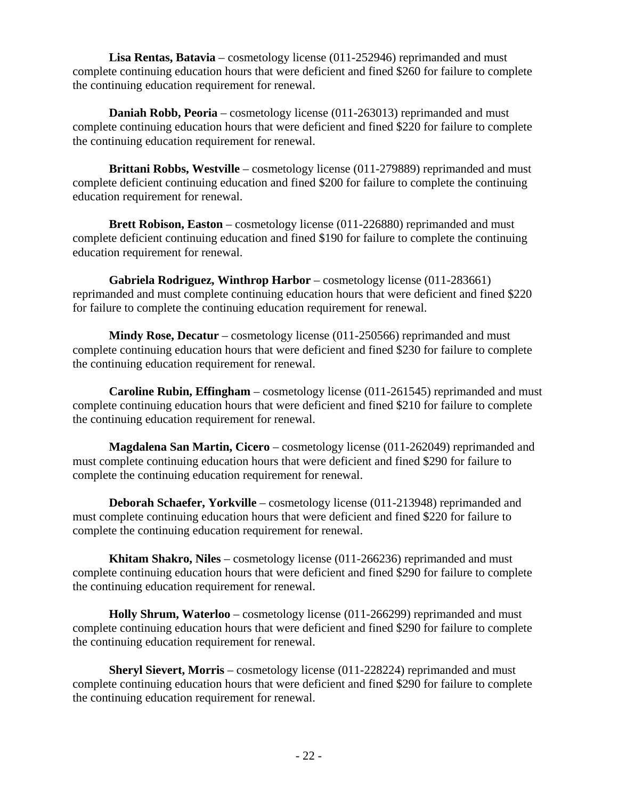**Lisa Rentas, Batavia** – cosmetology license (011-252946) reprimanded and must complete continuing education hours that were deficient and fined \$260 for failure to complete the continuing education requirement for renewal.

**Daniah Robb, Peoria** – cosmetology license (011-263013) reprimanded and must complete continuing education hours that were deficient and fined \$220 for failure to complete the continuing education requirement for renewal.

**Brittani Robbs, Westville** – cosmetology license (011-279889) reprimanded and must complete deficient continuing education and fined \$200 for failure to complete the continuing education requirement for renewal.

**Brett Robison, Easton** – cosmetology license (011-226880) reprimanded and must complete deficient continuing education and fined \$190 for failure to complete the continuing education requirement for renewal.

**Gabriela Rodriguez, Winthrop Harbor** – cosmetology license (011-283661) reprimanded and must complete continuing education hours that were deficient and fined \$220 for failure to complete the continuing education requirement for renewal.

**Mindy Rose, Decatur** – cosmetology license (011-250566) reprimanded and must complete continuing education hours that were deficient and fined \$230 for failure to complete the continuing education requirement for renewal.

**Caroline Rubin, Effingham** – cosmetology license (011-261545) reprimanded and must complete continuing education hours that were deficient and fined \$210 for failure to complete the continuing education requirement for renewal.

**Magdalena San Martin, Cicero** – cosmetology license (011-262049) reprimanded and must complete continuing education hours that were deficient and fined \$290 for failure to complete the continuing education requirement for renewal.

**Deborah Schaefer, Yorkville** – cosmetology license (011-213948) reprimanded and must complete continuing education hours that were deficient and fined \$220 for failure to complete the continuing education requirement for renewal.

**Khitam Shakro, Niles** – cosmetology license (011-266236) reprimanded and must complete continuing education hours that were deficient and fined \$290 for failure to complete the continuing education requirement for renewal.

**Holly Shrum, Waterloo** – cosmetology license (011-266299) reprimanded and must complete continuing education hours that were deficient and fined \$290 for failure to complete the continuing education requirement for renewal.

**Sheryl Sievert, Morris** – cosmetology license (011-228224) reprimanded and must complete continuing education hours that were deficient and fined \$290 for failure to complete the continuing education requirement for renewal.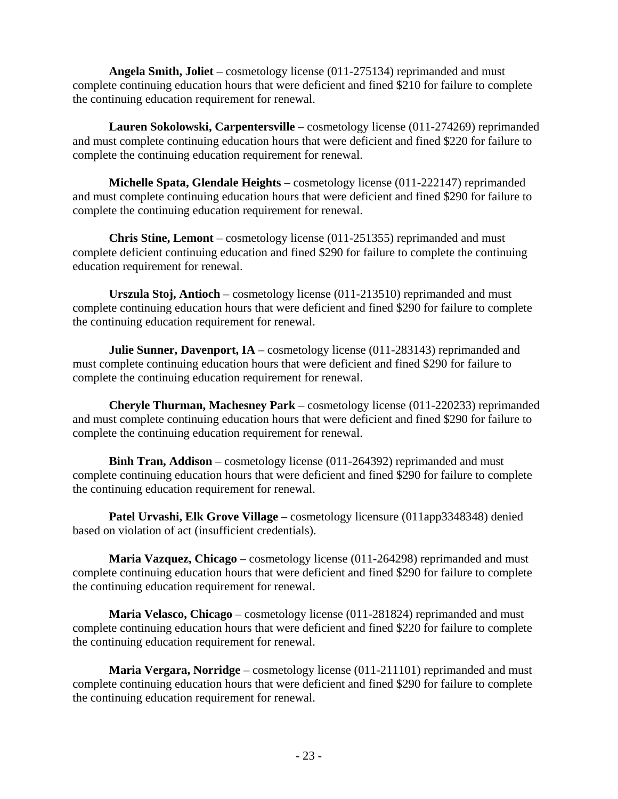**Angela Smith, Joliet** – cosmetology license (011-275134) reprimanded and must complete continuing education hours that were deficient and fined \$210 for failure to complete the continuing education requirement for renewal.

**Lauren Sokolowski, Carpentersville** – cosmetology license (011-274269) reprimanded and must complete continuing education hours that were deficient and fined \$220 for failure to complete the continuing education requirement for renewal.

**Michelle Spata, Glendale Heights** – cosmetology license (011-222147) reprimanded and must complete continuing education hours that were deficient and fined \$290 for failure to complete the continuing education requirement for renewal.

**Chris Stine, Lemont** – cosmetology license (011-251355) reprimanded and must complete deficient continuing education and fined \$290 for failure to complete the continuing education requirement for renewal.

**Urszula Stoj, Antioch** – cosmetology license (011-213510) reprimanded and must complete continuing education hours that were deficient and fined \$290 for failure to complete the continuing education requirement for renewal.

**Julie Sunner, Davenport, IA** – cosmetology license (011-283143) reprimanded and must complete continuing education hours that were deficient and fined \$290 for failure to complete the continuing education requirement for renewal.

**Cheryle Thurman, Machesney Park** – cosmetology license (011-220233) reprimanded and must complete continuing education hours that were deficient and fined \$290 for failure to complete the continuing education requirement for renewal.

**Binh Tran, Addison** – cosmetology license (011-264392) reprimanded and must complete continuing education hours that were deficient and fined \$290 for failure to complete the continuing education requirement for renewal.

**Patel Urvashi, Elk Grove Village** – cosmetology licensure (011app3348348) denied based on violation of act (insufficient credentials).

**Maria Vazquez, Chicago** – cosmetology license (011-264298) reprimanded and must complete continuing education hours that were deficient and fined \$290 for failure to complete the continuing education requirement for renewal.

**Maria Velasco, Chicago** – cosmetology license (011-281824) reprimanded and must complete continuing education hours that were deficient and fined \$220 for failure to complete the continuing education requirement for renewal.

**Maria Vergara, Norridge** – cosmetology license (011-211101) reprimanded and must complete continuing education hours that were deficient and fined \$290 for failure to complete the continuing education requirement for renewal.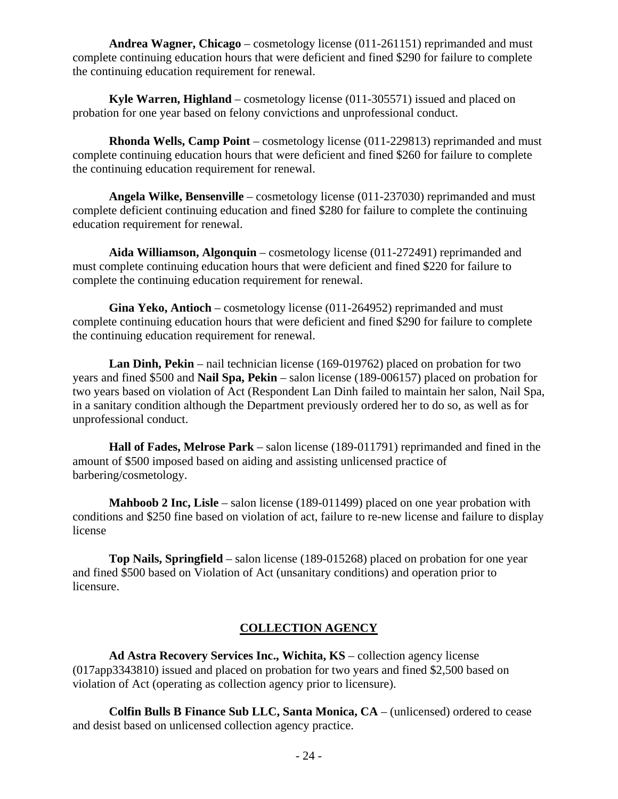**Andrea Wagner, Chicago** – cosmetology license (011-261151) reprimanded and must complete continuing education hours that were deficient and fined \$290 for failure to complete the continuing education requirement for renewal.

**Kyle Warren, Highland** – cosmetology license (011-305571) issued and placed on probation for one year based on felony convictions and unprofessional conduct.

**Rhonda Wells, Camp Point** – cosmetology license (011-229813) reprimanded and must complete continuing education hours that were deficient and fined \$260 for failure to complete the continuing education requirement for renewal.

**Angela Wilke, Bensenville** – cosmetology license (011-237030) reprimanded and must complete deficient continuing education and fined \$280 for failure to complete the continuing education requirement for renewal.

**Aida Williamson, Algonquin** – cosmetology license (011-272491) reprimanded and must complete continuing education hours that were deficient and fined \$220 for failure to complete the continuing education requirement for renewal.

**Gina Yeko, Antioch** – cosmetology license (011-264952) reprimanded and must complete continuing education hours that were deficient and fined \$290 for failure to complete the continuing education requirement for renewal.

**Lan Dinh, Pekin** – nail technician license (169-019762) placed on probation for two years and fined \$500 and **Nail Spa, Pekin** – salon license (189-006157) placed on probation for two years based on violation of Act (Respondent Lan Dinh failed to maintain her salon, Nail Spa, in a sanitary condition although the Department previously ordered her to do so, as well as for unprofessional conduct.

**Hall of Fades, Melrose Park** – salon license (189-011791) reprimanded and fined in the amount of \$500 imposed based on aiding and assisting unlicensed practice of barbering/cosmetology.

**Mahboob 2 Inc, Lisle** – salon license (189-011499) placed on one year probation with conditions and \$250 fine based on violation of act, failure to re-new license and failure to display license

**Top Nails, Springfield** – salon license (189-015268) placed on probation for one year and fined \$500 based on Violation of Act (unsanitary conditions) and operation prior to licensure.

#### **COLLECTION AGENCY**

**Ad Astra Recovery Services Inc., Wichita, KS** – collection agency license (017app3343810) issued and placed on probation for two years and fined \$2,500 based on violation of Act (operating as collection agency prior to licensure).

**Colfin Bulls B Finance Sub LLC, Santa Monica, CA** – (unlicensed) ordered to cease and desist based on unlicensed collection agency practice.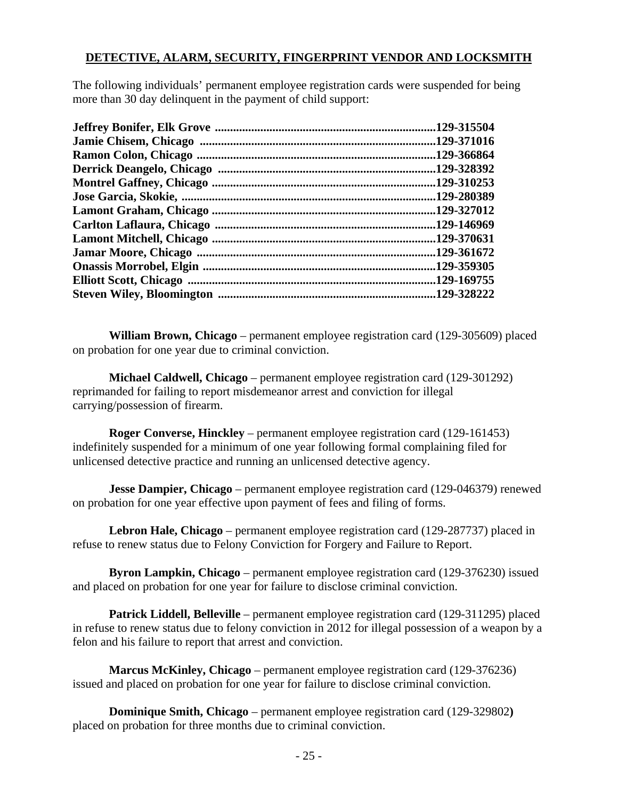#### **DETECTIVE, ALARM, SECURITY, FINGERPRINT VENDOR AND LOCKSMITH**

The following individuals' permanent employee registration cards were suspended for being more than 30 day delinquent in the payment of child support:

| .129-315504 |
|-------------|
| .129-371016 |
| .129-366864 |
| .129-328392 |
| .129-310253 |
| .129-280389 |
| .129-327012 |
| .129-146969 |
| .129-370631 |
| .129-361672 |
| .129-359305 |
| .129-169755 |
| .129-328222 |
|             |

**William Brown, Chicago** – permanent employee registration card (129-305609) placed on probation for one year due to criminal conviction.

**Michael Caldwell, Chicago** – permanent employee registration card (129-301292) reprimanded for failing to report misdemeanor arrest and conviction for illegal carrying/possession of firearm.

**Roger Converse, Hinckley** – permanent employee registration card (129-161453) indefinitely suspended for a minimum of one year following formal complaining filed for unlicensed detective practice and running an unlicensed detective agency.

**Jesse Dampier, Chicago** – permanent employee registration card (129-046379) renewed on probation for one year effective upon payment of fees and filing of forms.

**Lebron Hale, Chicago** – permanent employee registration card (129-287737) placed in refuse to renew status due to Felony Conviction for Forgery and Failure to Report.

**Byron Lampkin, Chicago** – permanent employee registration card (129-376230) issued and placed on probation for one year for failure to disclose criminal conviction.

**Patrick Liddell, Belleville** – permanent employee registration card (129-311295) placed in refuse to renew status due to felony conviction in 2012 for illegal possession of a weapon by a felon and his failure to report that arrest and conviction.

**Marcus McKinley, Chicago** – permanent employee registration card (129-376236) issued and placed on probation for one year for failure to disclose criminal conviction.

**Dominique Smith, Chicago** – permanent employee registration card (129-329802**)** placed on probation for three months due to criminal conviction.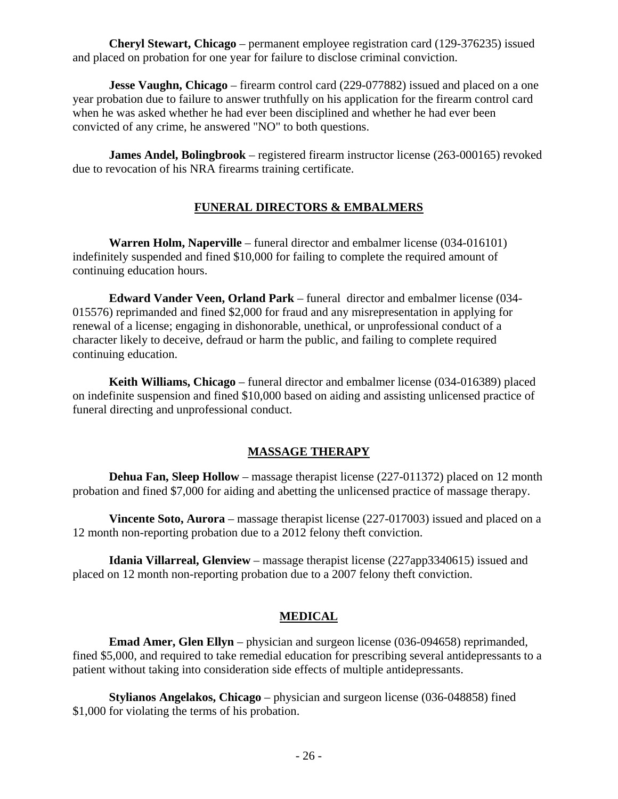**Cheryl Stewart, Chicago** – permanent employee registration card (129-376235) issued and placed on probation for one year for failure to disclose criminal conviction.

**Jesse Vaughn, Chicago** – firearm control card (229-077882) issued and placed on a one year probation due to failure to answer truthfully on his application for the firearm control card when he was asked whether he had ever been disciplined and whether he had ever been convicted of any crime, he answered "NO" to both questions.

 **James Andel, Bolingbrook** – registered firearm instructor license (263-000165) revoked due to revocation of his NRA firearms training certificate.

#### **FUNERAL DIRECTORS & EMBALMERS**

**Warren Holm, Naperville** – funeral director and embalmer license (034-016101) indefinitely suspended and fined \$10,000 for failing to complete the required amount of continuing education hours.

**Edward Vander Veen, Orland Park** – funeral director and embalmer license (034- 015576) reprimanded and fined \$2,000 for fraud and any misrepresentation in applying for renewal of a license; engaging in dishonorable, unethical, or unprofessional conduct of a character likely to deceive, defraud or harm the public, and failing to complete required continuing education.

**Keith Williams, Chicago** – funeral director and embalmer license (034-016389) placed on indefinite suspension and fined \$10,000 based on aiding and assisting unlicensed practice of funeral directing and unprofessional conduct.

#### **MASSAGE THERAPY**

**Dehua Fan, Sleep Hollow** – massage therapist license (227-011372) placed on 12 month probation and fined \$7,000 for aiding and abetting the unlicensed practice of massage therapy.

**Vincente Soto, Aurora** – massage therapist license (227-017003) issued and placed on a 12 month non-reporting probation due to a 2012 felony theft conviction.

**Idania Villarreal, Glenview** – massage therapist license (227app3340615) issued and placed on 12 month non-reporting probation due to a 2007 felony theft conviction.

#### **MEDICAL**

**Emad Amer, Glen Ellyn** – physician and surgeon license (036-094658) reprimanded, fined \$5,000, and required to take remedial education for prescribing several antidepressants to a patient without taking into consideration side effects of multiple antidepressants.

**Stylianos Angelakos, Chicago** – physician and surgeon license (036-048858) fined \$1,000 for violating the terms of his probation.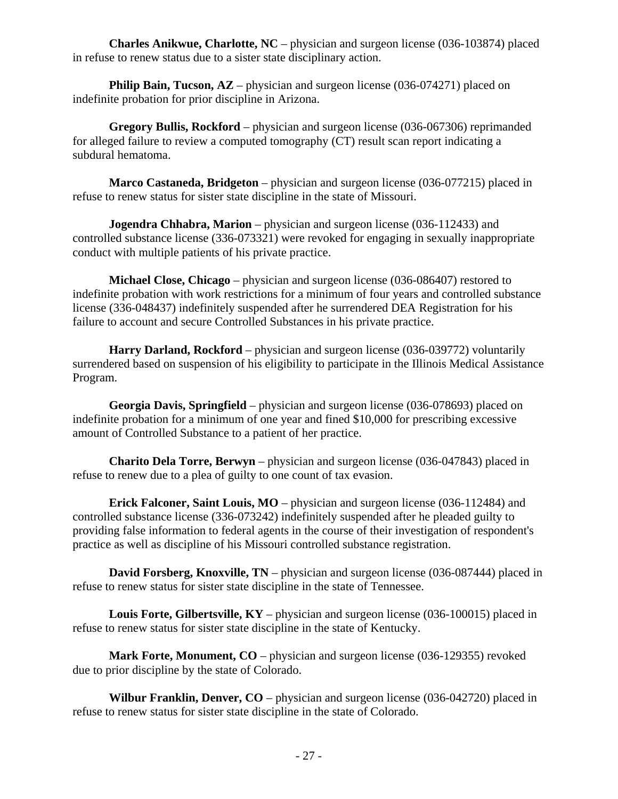**Charles Anikwue, Charlotte, NC** – physician and surgeon license (036-103874) placed in refuse to renew status due to a sister state disciplinary action.

**Philip Bain, Tucson, AZ** – physician and surgeon license (036-074271) placed on indefinite probation for prior discipline in Arizona.

**Gregory Bullis, Rockford** – physician and surgeon license (036-067306) reprimanded for alleged failure to review a computed tomography (CT) result scan report indicating a subdural hematoma.

**Marco Castaneda, Bridgeton** – physician and surgeon license (036-077215) placed in refuse to renew status for sister state discipline in the state of Missouri.

**Jogendra Chhabra, Marion** – physician and surgeon license (036-112433) and controlled substance license (336-073321) were revoked for engaging in sexually inappropriate conduct with multiple patients of his private practice.

**Michael Close, Chicago** – physician and surgeon license (036-086407) restored to indefinite probation with work restrictions for a minimum of four years and controlled substance license (336-048437) indefinitely suspended after he surrendered DEA Registration for his failure to account and secure Controlled Substances in his private practice.

**Harry Darland, Rockford** – physician and surgeon license (036-039772) voluntarily surrendered based on suspension of his eligibility to participate in the Illinois Medical Assistance Program.

**Georgia Davis, Springfield** – physician and surgeon license (036-078693) placed on indefinite probation for a minimum of one year and fined \$10,000 for prescribing excessive amount of Controlled Substance to a patient of her practice.

**Charito Dela Torre, Berwyn** – physician and surgeon license (036-047843) placed in refuse to renew due to a plea of guilty to one count of tax evasion.

**Erick Falconer, Saint Louis, MO** – physician and surgeon license (036-112484) and controlled substance license (336-073242) indefinitely suspended after he pleaded guilty to providing false information to federal agents in the course of their investigation of respondent's practice as well as discipline of his Missouri controlled substance registration.

**David Forsberg, Knoxville, TN** – physician and surgeon license (036-087444) placed in refuse to renew status for sister state discipline in the state of Tennessee.

**Louis Forte, Gilbertsville, KY** – physician and surgeon license (036-100015) placed in refuse to renew status for sister state discipline in the state of Kentucky.

**Mark Forte, Monument, CO** – physician and surgeon license (036-129355) revoked due to prior discipline by the state of Colorado.

**Wilbur Franklin, Denver, CO** – physician and surgeon license (036-042720) placed in refuse to renew status for sister state discipline in the state of Colorado.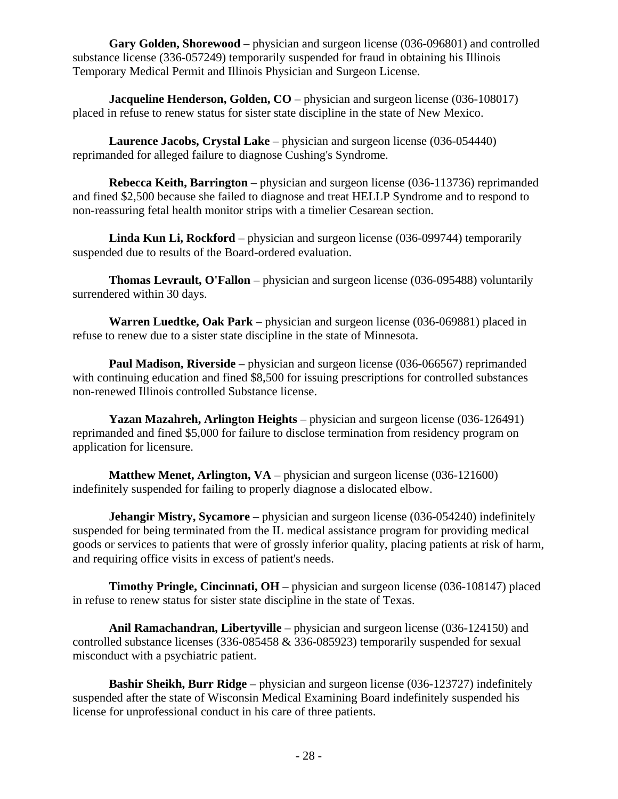**Gary Golden, Shorewood** – physician and surgeon license (036-096801) and controlled substance license (336-057249) temporarily suspended for fraud in obtaining his Illinois Temporary Medical Permit and Illinois Physician and Surgeon License.

**Jacqueline Henderson, Golden, CO** – physician and surgeon license (036-108017) placed in refuse to renew status for sister state discipline in the state of New Mexico.

**Laurence Jacobs, Crystal Lake** – physician and surgeon license (036-054440) reprimanded for alleged failure to diagnose Cushing's Syndrome.

**Rebecca Keith, Barrington** – physician and surgeon license (036-113736) reprimanded and fined \$2,500 because she failed to diagnose and treat HELLP Syndrome and to respond to non-reassuring fetal health monitor strips with a timelier Cesarean section.

**Linda Kun Li, Rockford** – physician and surgeon license (036-099744) temporarily suspended due to results of the Board-ordered evaluation.

**Thomas Levrault, O'Fallon** – physician and surgeon license (036-095488) voluntarily surrendered within 30 days.

**Warren Luedtke, Oak Park** – physician and surgeon license (036-069881) placed in refuse to renew due to a sister state discipline in the state of Minnesota.

**Paul Madison, Riverside** – physician and surgeon license (036-066567) reprimanded with continuing education and fined \$8,500 for issuing prescriptions for controlled substances non-renewed Illinois controlled Substance license.

**Yazan Mazahreh, Arlington Heights** – physician and surgeon license (036-126491) reprimanded and fined \$5,000 for failure to disclose termination from residency program on application for licensure.

**Matthew Menet, Arlington, VA** – physician and surgeon license (036-121600) indefinitely suspended for failing to properly diagnose a dislocated elbow.

**Jehangir Mistry, Sycamore** – physician and surgeon license (036-054240) indefinitely suspended for being terminated from the IL medical assistance program for providing medical goods or services to patients that were of grossly inferior quality, placing patients at risk of harm, and requiring office visits in excess of patient's needs.

**Timothy Pringle, Cincinnati, OH** – physician and surgeon license (036-108147) placed in refuse to renew status for sister state discipline in the state of Texas.

**Anil Ramachandran, Libertyville** – physician and surgeon license (036-124150) and controlled substance licenses (336-085458 & 336-085923) temporarily suspended for sexual misconduct with a psychiatric patient.

**Bashir Sheikh, Burr Ridge** – physician and surgeon license (036-123727) indefinitely suspended after the state of Wisconsin Medical Examining Board indefinitely suspended his license for unprofessional conduct in his care of three patients.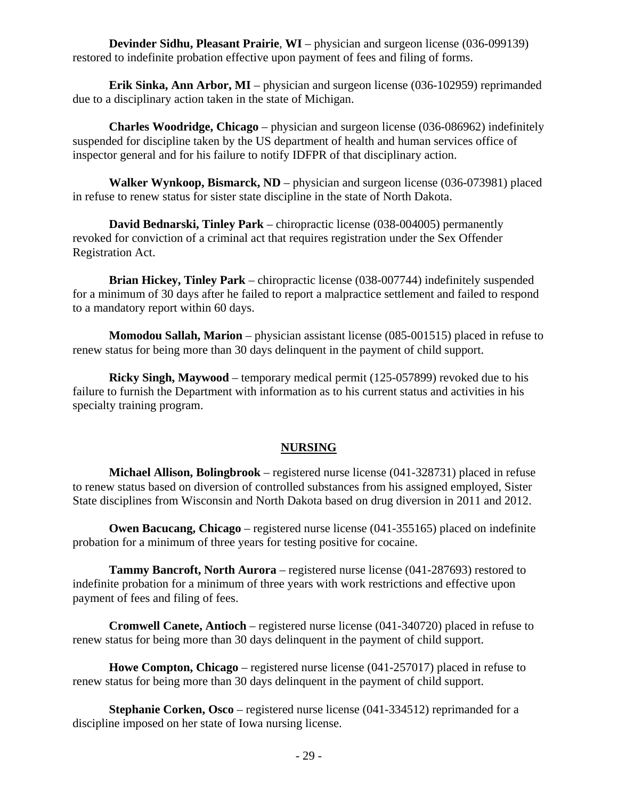**Devinder Sidhu, Pleasant Prairie**, **WI** – physician and surgeon license (036-099139) restored to indefinite probation effective upon payment of fees and filing of forms.

**Erik Sinka, Ann Arbor, MI** – physician and surgeon license (036-102959) reprimanded due to a disciplinary action taken in the state of Michigan.

**Charles Woodridge, Chicago** – physician and surgeon license (036-086962) indefinitely suspended for discipline taken by the US department of health and human services office of inspector general and for his failure to notify IDFPR of that disciplinary action.

**Walker Wynkoop, Bismarck, ND** – physician and surgeon license (036-073981) placed in refuse to renew status for sister state discipline in the state of North Dakota.

**David Bednarski, Tinley Park** – chiropractic license (038-004005) permanently revoked for conviction of a criminal act that requires registration under the Sex Offender Registration Act.

**Brian Hickey, Tinley Park** – chiropractic license (038-007744) indefinitely suspended for a minimum of 30 days after he failed to report a malpractice settlement and failed to respond to a mandatory report within 60 days.

**Momodou Sallah, Marion** – physician assistant license (085-001515) placed in refuse to renew status for being more than 30 days delinquent in the payment of child support.

**Ricky Singh, Maywood** – temporary medical permit (125-057899) revoked due to his failure to furnish the Department with information as to his current status and activities in his specialty training program.

#### **NURSING**

**Michael Allison, Bolingbrook** – registered nurse license (041-328731) placed in refuse to renew status based on diversion of controlled substances from his assigned employed, Sister State disciplines from Wisconsin and North Dakota based on drug diversion in 2011 and 2012.

**Owen Bacucang, Chicago** – registered nurse license (041-355165) placed on indefinite probation for a minimum of three years for testing positive for cocaine.

**Tammy Bancroft, North Aurora** – registered nurse license (041-287693) restored to indefinite probation for a minimum of three years with work restrictions and effective upon payment of fees and filing of fees.

**Cromwell Canete, Antioch** – registered nurse license (041-340720) placed in refuse to renew status for being more than 30 days delinquent in the payment of child support.

**Howe Compton, Chicago** – registered nurse license (041-257017) placed in refuse to renew status for being more than 30 days delinquent in the payment of child support.

**Stephanie Corken, Osco** – registered nurse license (041-334512) reprimanded for a discipline imposed on her state of Iowa nursing license.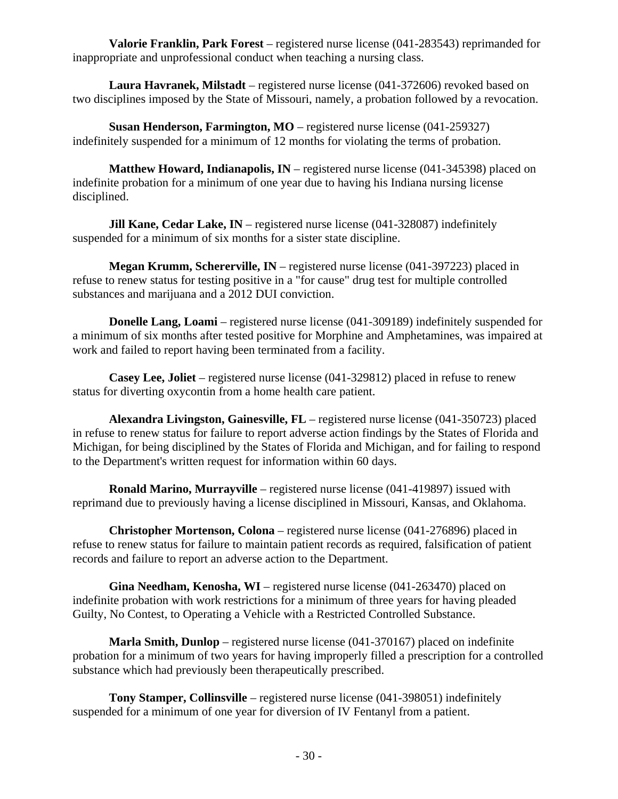**Valorie Franklin, Park Forest** – registered nurse license (041-283543) reprimanded for inappropriate and unprofessional conduct when teaching a nursing class.

**Laura Havranek, Milstadt** – registered nurse license (041-372606) revoked based on two disciplines imposed by the State of Missouri, namely, a probation followed by a revocation.

**Susan Henderson, Farmington, MO** – registered nurse license (041-259327) indefinitely suspended for a minimum of 12 months for violating the terms of probation.

**Matthew Howard, Indianapolis, IN** – registered nurse license (041-345398) placed on indefinite probation for a minimum of one year due to having his Indiana nursing license disciplined.

**Jill Kane, Cedar Lake, IN** – registered nurse license (041-328087) indefinitely suspended for a minimum of six months for a sister state discipline.

**Megan Krumm, Schererville, IN** – registered nurse license (041-397223) placed in refuse to renew status for testing positive in a "for cause" drug test for multiple controlled substances and marijuana and a 2012 DUI conviction.

**Donelle Lang, Loami** – registered nurse license (041-309189) indefinitely suspended for a minimum of six months after tested positive for Morphine and Amphetamines, was impaired at work and failed to report having been terminated from a facility.

**Casey Lee, Joliet** – registered nurse license (041-329812) placed in refuse to renew status for diverting oxycontin from a home health care patient.

**Alexandra Livingston, Gainesville, FL** – registered nurse license (041-350723) placed in refuse to renew status for failure to report adverse action findings by the States of Florida and Michigan, for being disciplined by the States of Florida and Michigan, and for failing to respond to the Department's written request for information within 60 days.

**Ronald Marino, Murrayville** – registered nurse license (041-419897) issued with reprimand due to previously having a license disciplined in Missouri, Kansas, and Oklahoma.

**Christopher Mortenson, Colona** – registered nurse license (041-276896) placed in refuse to renew status for failure to maintain patient records as required, falsification of patient records and failure to report an adverse action to the Department.

**Gina Needham, Kenosha, WI** – registered nurse license (041-263470) placed on indefinite probation with work restrictions for a minimum of three years for having pleaded Guilty, No Contest, to Operating a Vehicle with a Restricted Controlled Substance.

**Marla Smith, Dunlop** – registered nurse license (041-370167) placed on indefinite probation for a minimum of two years for having improperly filled a prescription for a controlled substance which had previously been therapeutically prescribed.

**Tony Stamper, Collinsville** – registered nurse license (041-398051) indefinitely suspended for a minimum of one year for diversion of IV Fentanyl from a patient.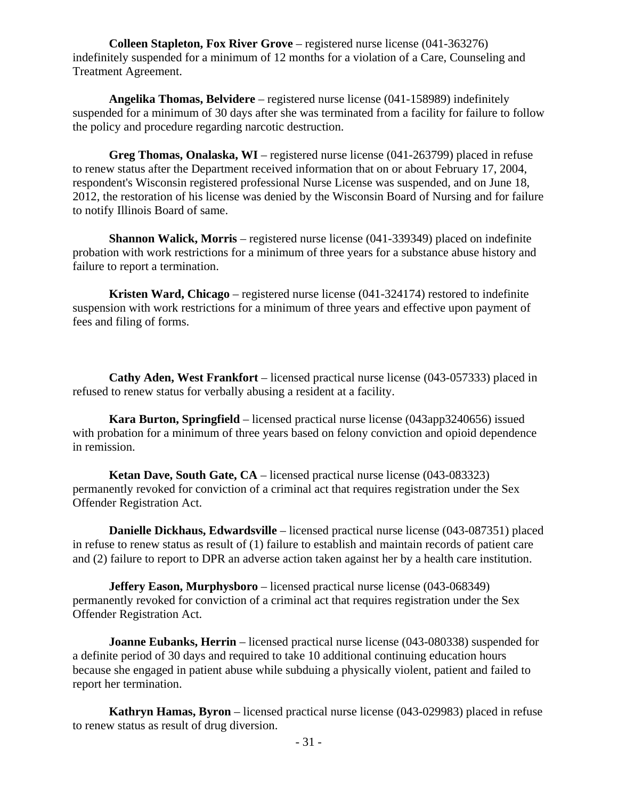**Colleen Stapleton, Fox River Grove** – registered nurse license (041-363276) indefinitely suspended for a minimum of 12 months for a violation of a Care, Counseling and Treatment Agreement.

**Angelika Thomas, Belvidere** – registered nurse license (041-158989) indefinitely suspended for a minimum of 30 days after she was terminated from a facility for failure to follow the policy and procedure regarding narcotic destruction.

**Greg Thomas, Onalaska, WI** – registered nurse license (041-263799) placed in refuse to renew status after the Department received information that on or about February 17, 2004, respondent's Wisconsin registered professional Nurse License was suspended, and on June 18, 2012, the restoration of his license was denied by the Wisconsin Board of Nursing and for failure to notify Illinois Board of same.

**Shannon Walick, Morris** – registered nurse license (041-339349) placed on indefinite probation with work restrictions for a minimum of three years for a substance abuse history and failure to report a termination.

**Kristen Ward, Chicago** – registered nurse license (041-324174) restored to indefinite suspension with work restrictions for a minimum of three years and effective upon payment of fees and filing of forms.

**Cathy Aden, West Frankfort** – licensed practical nurse license (043-057333) placed in refused to renew status for verbally abusing a resident at a facility.

**Kara Burton, Springfield** – licensed practical nurse license (043app3240656) issued with probation for a minimum of three years based on felony conviction and opioid dependence in remission.

**Ketan Dave, South Gate, CA** – licensed practical nurse license (043-083323) permanently revoked for conviction of a criminal act that requires registration under the Sex Offender Registration Act.

**Danielle Dickhaus, Edwardsville** – licensed practical nurse license (043-087351) placed in refuse to renew status as result of (1) failure to establish and maintain records of patient care and (2) failure to report to DPR an adverse action taken against her by a health care institution.

**Jeffery Eason, Murphysboro** – licensed practical nurse license (043-068349) permanently revoked for conviction of a criminal act that requires registration under the Sex Offender Registration Act.

**Joanne Eubanks, Herrin** – licensed practical nurse license (043-080338) suspended for a definite period of 30 days and required to take 10 additional continuing education hours because she engaged in patient abuse while subduing a physically violent, patient and failed to report her termination.

**Kathryn Hamas, Byron** – licensed practical nurse license (043-029983) placed in refuse to renew status as result of drug diversion.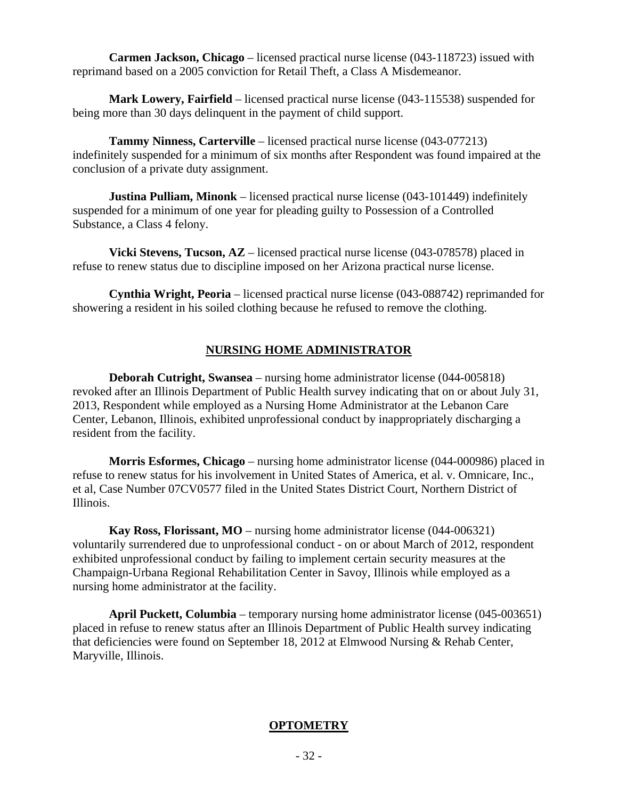**Carmen Jackson, Chicago** – licensed practical nurse license (043-118723) issued with reprimand based on a 2005 conviction for Retail Theft, a Class A Misdemeanor.

**Mark Lowery, Fairfield** – licensed practical nurse license (043-115538) suspended for being more than 30 days delinquent in the payment of child support.

**Tammy Ninness, Carterville** – licensed practical nurse license (043-077213) indefinitely suspended for a minimum of six months after Respondent was found impaired at the conclusion of a private duty assignment.

**Justina Pulliam, Minonk** – licensed practical nurse license (043-101449) indefinitely suspended for a minimum of one year for pleading guilty to Possession of a Controlled Substance, a Class 4 felony.

**Vicki Stevens, Tucson, AZ** – licensed practical nurse license (043-078578) placed in refuse to renew status due to discipline imposed on her Arizona practical nurse license.

**Cynthia Wright, Peoria** – licensed practical nurse license (043-088742) reprimanded for showering a resident in his soiled clothing because he refused to remove the clothing.

#### **NURSING HOME ADMINISTRATOR**

**Deborah Cutright, Swansea** – nursing home administrator license (044-005818) revoked after an Illinois Department of Public Health survey indicating that on or about July 31, 2013, Respondent while employed as a Nursing Home Administrator at the Lebanon Care Center, Lebanon, Illinois, exhibited unprofessional conduct by inappropriately discharging a resident from the facility.

**Morris Esformes, Chicago** – nursing home administrator license (044-000986) placed in refuse to renew status for his involvement in United States of America, et al. v. Omnicare, Inc., et al, Case Number 07CV0577 filed in the United States District Court, Northern District of Illinois.

**Kay Ross, Florissant, MO** – nursing home administrator license (044-006321) voluntarily surrendered due to unprofessional conduct - on or about March of 2012, respondent exhibited unprofessional conduct by failing to implement certain security measures at the Champaign-Urbana Regional Rehabilitation Center in Savoy, Illinois while employed as a nursing home administrator at the facility.

**April Puckett, Columbia** – temporary nursing home administrator license (045-003651) placed in refuse to renew status after an Illinois Department of Public Health survey indicating that deficiencies were found on September 18, 2012 at Elmwood Nursing & Rehab Center, Maryville, Illinois.

#### **OPTOMETRY**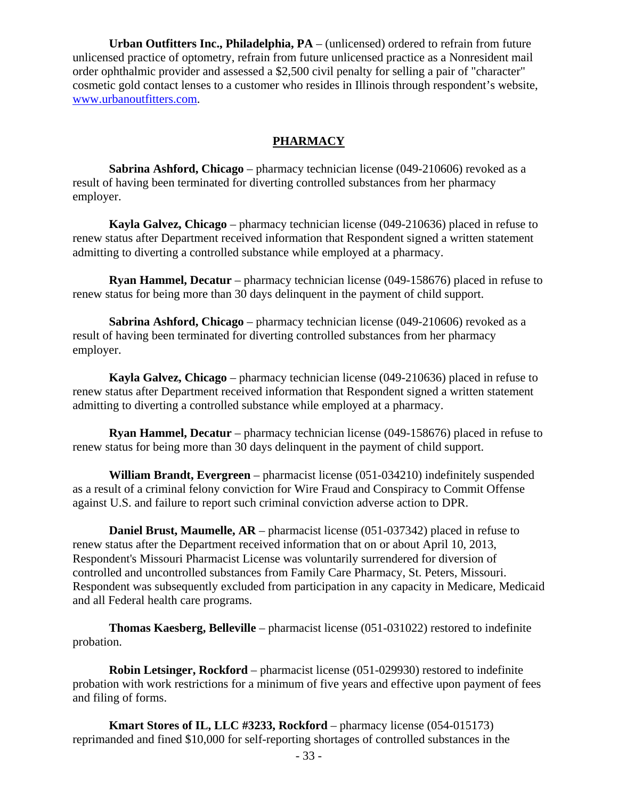**Urban Outfitters Inc., Philadelphia, PA** – (unlicensed) ordered to refrain from future unlicensed practice of optometry, refrain from future unlicensed practice as a Nonresident mail order ophthalmic provider and assessed a \$2,500 civil penalty for selling a pair of "character" cosmetic gold contact lenses to a customer who resides in Illinois through respondent's website, www.urbanoutfitters.com.

#### **PHARMACY**

**Sabrina Ashford, Chicago** – pharmacy technician license (049-210606) revoked as a result of having been terminated for diverting controlled substances from her pharmacy employer.

**Kayla Galvez, Chicago** – pharmacy technician license (049-210636) placed in refuse to renew status after Department received information that Respondent signed a written statement admitting to diverting a controlled substance while employed at a pharmacy.

**Ryan Hammel, Decatur** – pharmacy technician license (049-158676) placed in refuse to renew status for being more than 30 days delinquent in the payment of child support.

**Sabrina Ashford, Chicago** – pharmacy technician license (049-210606) revoked as a result of having been terminated for diverting controlled substances from her pharmacy employer.

**Kayla Galvez, Chicago** – pharmacy technician license (049-210636) placed in refuse to renew status after Department received information that Respondent signed a written statement admitting to diverting a controlled substance while employed at a pharmacy.

**Ryan Hammel, Decatur** – pharmacy technician license (049-158676) placed in refuse to renew status for being more than 30 days delinquent in the payment of child support.

**William Brandt, Evergreen** – pharmacist license (051-034210) indefinitely suspended as a result of a criminal felony conviction for Wire Fraud and Conspiracy to Commit Offense against U.S. and failure to report such criminal conviction adverse action to DPR.

**Daniel Brust, Maumelle, AR** – pharmacist license (051-037342) placed in refuse to renew status after the Department received information that on or about April 10, 2013, Respondent's Missouri Pharmacist License was voluntarily surrendered for diversion of controlled and uncontrolled substances from Family Care Pharmacy, St. Peters, Missouri. Respondent was subsequently excluded from participation in any capacity in Medicare, Medicaid and all Federal health care programs.

**Thomas Kaesberg, Belleville** – pharmacist license (051-031022) restored to indefinite probation.

**Robin Letsinger, Rockford** – pharmacist license (051-029930) restored to indefinite probation with work restrictions for a minimum of five years and effective upon payment of fees and filing of forms.

**Kmart Stores of IL, LLC #3233, Rockford** – pharmacy license (054-015173) reprimanded and fined \$10,000 for self-reporting shortages of controlled substances in the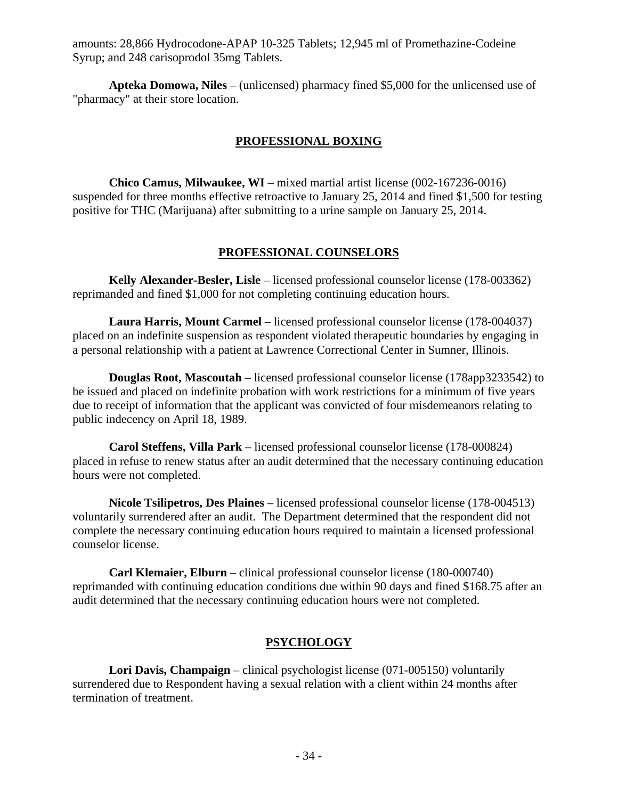amounts: 28,866 Hydrocodone-APAP 10-325 Tablets; 12,945 ml of Promethazine-Codeine Syrup; and 248 carisoprodol 35mg Tablets.

**Apteka Domowa, Niles** – (unlicensed) pharmacy fined \$5,000 for the unlicensed use of "pharmacy" at their store location.

#### **PROFESSIONAL BOXING**

**Chico Camus, Milwaukee, WI** – mixed martial artist license (002-167236-0016) suspended for three months effective retroactive to January 25, 2014 and fined \$1,500 for testing positive for THC (Marijuana) after submitting to a urine sample on January 25, 2014.

#### **PROFESSIONAL COUNSELORS**

**Kelly Alexander-Besler, Lisle** – licensed professional counselor license (178-003362) reprimanded and fined \$1,000 for not completing continuing education hours.

**Laura Harris, Mount Carmel** – licensed professional counselor license (178-004037) placed on an indefinite suspension as respondent violated therapeutic boundaries by engaging in a personal relationship with a patient at Lawrence Correctional Center in Sumner, Illinois.

**Douglas Root, Mascoutah** – licensed professional counselor license (178app3233542) to be issued and placed on indefinite probation with work restrictions for a minimum of five years due to receipt of information that the applicant was convicted of four misdemeanors relating to public indecency on April 18, 1989.

**Carol Steffens, Villa Park** – licensed professional counselor license (178-000824) placed in refuse to renew status after an audit determined that the necessary continuing education hours were not completed.

**Nicole Tsilipetros, Des Plaines** – licensed professional counselor license (178-004513) voluntarily surrendered after an audit. The Department determined that the respondent did not complete the necessary continuing education hours required to maintain a licensed professional counselor license.

**Carl Klemaier, Elburn** – clinical professional counselor license (180-000740) reprimanded with continuing education conditions due within 90 days and fined \$168.75 after an audit determined that the necessary continuing education hours were not completed.

#### **PSYCHOLOGY**

**Lori Davis, Champaign** – clinical psychologist license (071-005150) voluntarily surrendered due to Respondent having a sexual relation with a client within 24 months after termination of treatment.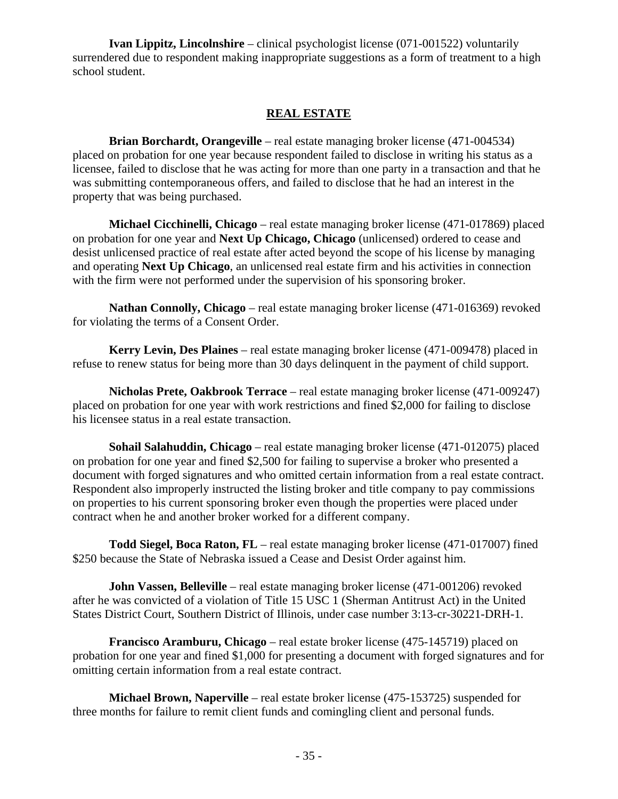**Ivan Lippitz, Lincolnshire** – clinical psychologist license (071-001522) voluntarily surrendered due to respondent making inappropriate suggestions as a form of treatment to a high school student.

#### **REAL ESTATE**

**Brian Borchardt, Orangeville** – real estate managing broker license (471-004534) placed on probation for one year because respondent failed to disclose in writing his status as a licensee, failed to disclose that he was acting for more than one party in a transaction and that he was submitting contemporaneous offers, and failed to disclose that he had an interest in the property that was being purchased.

**Michael Cicchinelli, Chicago** – real estate managing broker license (471-017869) placed on probation for one year and **Next Up Chicago, Chicago** (unlicensed) ordered to cease and desist unlicensed practice of real estate after acted beyond the scope of his license by managing and operating **Next Up Chicago**, an unlicensed real estate firm and his activities in connection with the firm were not performed under the supervision of his sponsoring broker.

**Nathan Connolly, Chicago** – real estate managing broker license (471-016369) revoked for violating the terms of a Consent Order.

**Kerry Levin, Des Plaines** – real estate managing broker license (471-009478) placed in refuse to renew status for being more than 30 days delinquent in the payment of child support.

**Nicholas Prete, Oakbrook Terrace** – real estate managing broker license (471-009247) placed on probation for one year with work restrictions and fined \$2,000 for failing to disclose his licensee status in a real estate transaction.

**Sohail Salahuddin, Chicago** – real estate managing broker license (471-012075) placed on probation for one year and fined \$2,500 for failing to supervise a broker who presented a document with forged signatures and who omitted certain information from a real estate contract. Respondent also improperly instructed the listing broker and title company to pay commissions on properties to his current sponsoring broker even though the properties were placed under contract when he and another broker worked for a different company.

**Todd Siegel, Boca Raton, FL** – real estate managing broker license (471-017007) fined \$250 because the State of Nebraska issued a Cease and Desist Order against him.

**John Vassen, Belleville** – real estate managing broker license (471-001206) revoked after he was convicted of a violation of Title 15 USC 1 (Sherman Antitrust Act) in the United States District Court, Southern District of Illinois, under case number 3:13-cr-30221-DRH-1.

**Francisco Aramburu, Chicago** – real estate broker license (475-145719) placed on probation for one year and fined \$1,000 for presenting a document with forged signatures and for omitting certain information from a real estate contract.

**Michael Brown, Naperville** – real estate broker license (475-153725) suspended for three months for failure to remit client funds and comingling client and personal funds.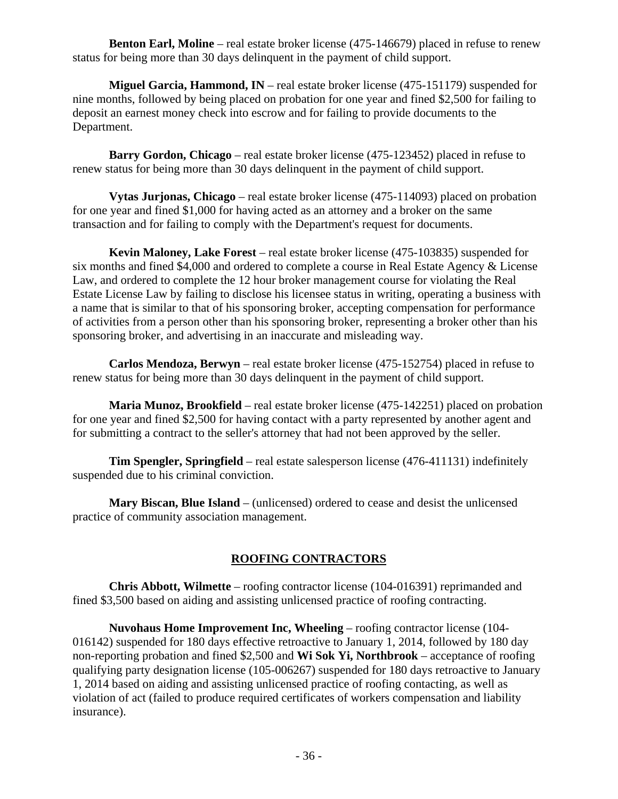**Benton Earl, Moline** – real estate broker license (475-146679) placed in refuse to renew status for being more than 30 days delinquent in the payment of child support.

**Miguel Garcia, Hammond, IN** – real estate broker license (475-151179) suspended for nine months, followed by being placed on probation for one year and fined \$2,500 for failing to deposit an earnest money check into escrow and for failing to provide documents to the Department.

**Barry Gordon, Chicago** – real estate broker license (475-123452) placed in refuse to renew status for being more than 30 days delinquent in the payment of child support.

**Vytas Jurjonas, Chicago** – real estate broker license (475-114093) placed on probation for one year and fined \$1,000 for having acted as an attorney and a broker on the same transaction and for failing to comply with the Department's request for documents.

**Kevin Maloney, Lake Forest** – real estate broker license (475-103835) suspended for six months and fined \$4,000 and ordered to complete a course in Real Estate Agency & License Law, and ordered to complete the 12 hour broker management course for violating the Real Estate License Law by failing to disclose his licensee status in writing, operating a business with a name that is similar to that of his sponsoring broker, accepting compensation for performance of activities from a person other than his sponsoring broker, representing a broker other than his sponsoring broker, and advertising in an inaccurate and misleading way.

**Carlos Mendoza, Berwyn** – real estate broker license (475-152754) placed in refuse to renew status for being more than 30 days delinquent in the payment of child support.

**Maria Munoz, Brookfield** – real estate broker license (475-142251) placed on probation for one year and fined \$2,500 for having contact with a party represented by another agent and for submitting a contract to the seller's attorney that had not been approved by the seller.

**Tim Spengler, Springfield** – real estate salesperson license (476-411131) indefinitely suspended due to his criminal conviction.

**Mary Biscan, Blue Island** – (unlicensed) ordered to cease and desist the unlicensed practice of community association management.

### **ROOFING CONTRACTORS**

**Chris Abbott, Wilmette** – roofing contractor license (104-016391) reprimanded and fined \$3,500 based on aiding and assisting unlicensed practice of roofing contracting.

**Nuvohaus Home Improvement Inc, Wheeling** – roofing contractor license (104- 016142) suspended for 180 days effective retroactive to January 1, 2014, followed by 180 day non-reporting probation and fined \$2,500 and **Wi Sok Yi, Northbrook** – acceptance of roofing qualifying party designation license (105-006267) suspended for 180 days retroactive to January 1, 2014 based on aiding and assisting unlicensed practice of roofing contacting, as well as violation of act (failed to produce required certificates of workers compensation and liability insurance).